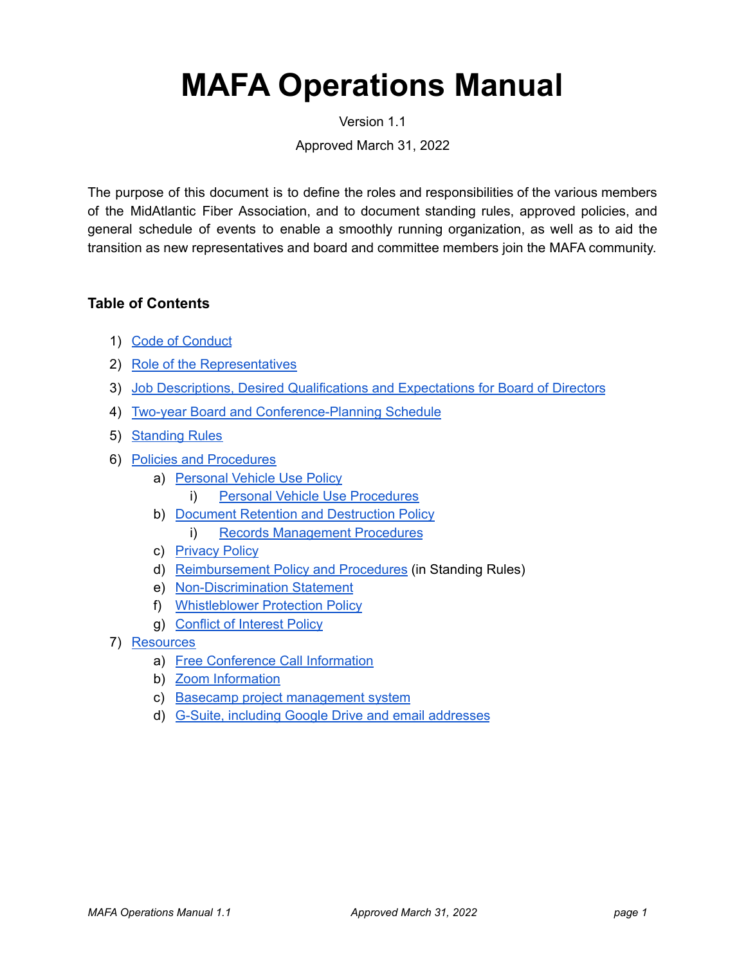# **MAFA Operations Manual**

Version 1.1

Approved March 31, 2022

The purpose of this document is to define the roles and responsibilities of the various members of the MidAtlantic Fiber Association, and to document standing rules, approved policies, and general schedule of events to enable a smoothly running organization, as well as to aid the transition as new representatives and board and committee members join the MAFA community.

### **Table of Contents**

- 1) Code of Conduct
- 2) Role of the Representatives
- 3) [Job Descriptions, Desired Qualifications and Expectations for Board of Directors](#page-3-0)
- 4) [Two-year Board and Conference-Planning Schedule](#page-12-0)
- 5) [Standing Rules](#page-14-0)
- 6) [Policies and Procedures](#page-17-0)
	- a) Personal Vehicle Use Policy
		- i) [Personal Vehicle Use Procedures](#page-18-0)
	- b) [Document Retention and Destruction Policy](#page-19-0)
		- i) [Records Management Procedures](#page-22-0)
	- c) [Privacy Policy](#page-22-1)
	- d) [Reimbursement Policy and Procedures](#page-16-0) (in Standing Rules)
	- e) [Non-Discrimination Statement](#page-23-0)
	- f) [Whistleblower Protection Policy](#page-24-0)
	- g) [Conflict of Interest Policy](#page-25-0)
- 7) [Resources](#page-29-0)
	- a) [Free Conference Call Information](#page-31-0)
	- b) [Zoom Information](#page-29-1)
	- c) [Basecamp project management system](#page-29-2)
	- d) [G-Suite, including Google Drive and email addresses](#page-30-0)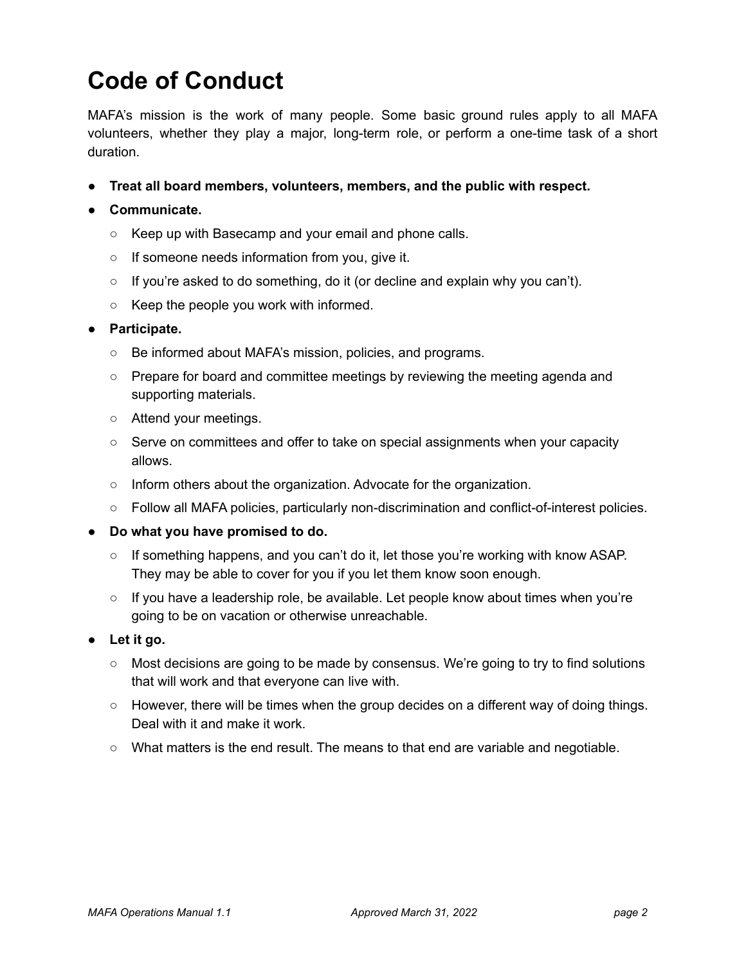## **Code of Conduct**

MAFA's mission is the work of many people. Some basic ground rules apply to all MAFA volunteers, whether they play a major, long-term role, or perform a one-time task of a short duration.

**● Treat all board members, volunteers, members, and the public with respect.**

### **● Communicate.**

- Keep up with Basecamp and your email and phone calls.
- If someone needs information from you, give it.
- If you're asked to do something, do it (or decline and explain why you can't).
- Keep the people you work with informed.

### **● Participate.**

- Be informed about MAFA's mission, policies, and programs.
- Prepare for board and committee meetings by reviewing the meeting agenda and supporting materials.
- Attend your meetings.
- Serve on committees and offer to take on special assignments when your capacity allows.
- Inform others about the organization. Advocate for the organization.
- Follow all MAFA policies, particularly non-discrimination and conflict-of-interest policies.
- **Do what you have promised to do.**
	- If something happens, and you can't do it, let those you're working with know ASAP. They may be able to cover for you if you let them know soon enough.
	- If you have a leadership role, be available. Let people know about times when you're going to be on vacation or otherwise unreachable.
- **Let it go.**
	- Most decisions are going to be made by consensus. We're going to try to find solutions that will work and that everyone can live with.
	- $\circ$  However, there will be times when the group decides on a different way of doing things. Deal with it and make it work.
	- What matters is the end result. The means to that end are variable and negotiable.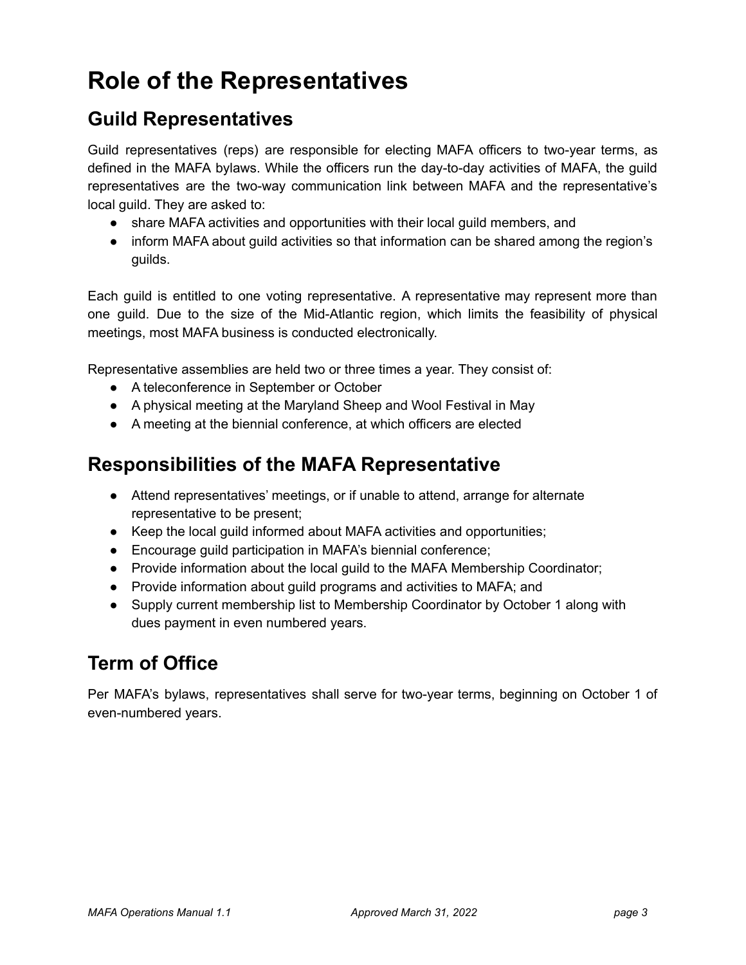## **Role of the Representatives**

### **Guild Representatives**

Guild representatives (reps) are responsible for electing MAFA officers to two-year terms, as defined in the MAFA bylaws. While the officers run the day-to-day activities of MAFA, the guild representatives are the two-way communication link between MAFA and the representative's local guild. They are asked to:

- share MAFA activities and opportunities with their local guild members, and
- inform MAFA about guild activities so that information can be shared among the region's guilds.

Each guild is entitled to one voting representative. A representative may represent more than one guild. Due to the size of the Mid-Atlantic region, which limits the feasibility of physical meetings, most MAFA business is conducted electronically.

Representative assemblies are held two or three times a year. They consist of:

- A teleconference in September or October
- A physical meeting at the Maryland Sheep and Wool Festival in May
- A meeting at the biennial conference, at which officers are elected

### **Responsibilities of the MAFA Representative**

- Attend representatives' meetings, or if unable to attend, arrange for alternate representative to be present;
- Keep the local guild informed about MAFA activities and opportunities;
- Encourage guild participation in MAFA's biennial conference;
- Provide information about the local guild to the MAFA Membership Coordinator;
- Provide information about guild programs and activities to MAFA; and
- Supply current membership list to Membership Coordinator by October 1 along with dues payment in even numbered years.

### **Term of Office**

Per MAFA's bylaws, representatives shall serve for two-year terms, beginning on October 1 of even-numbered years.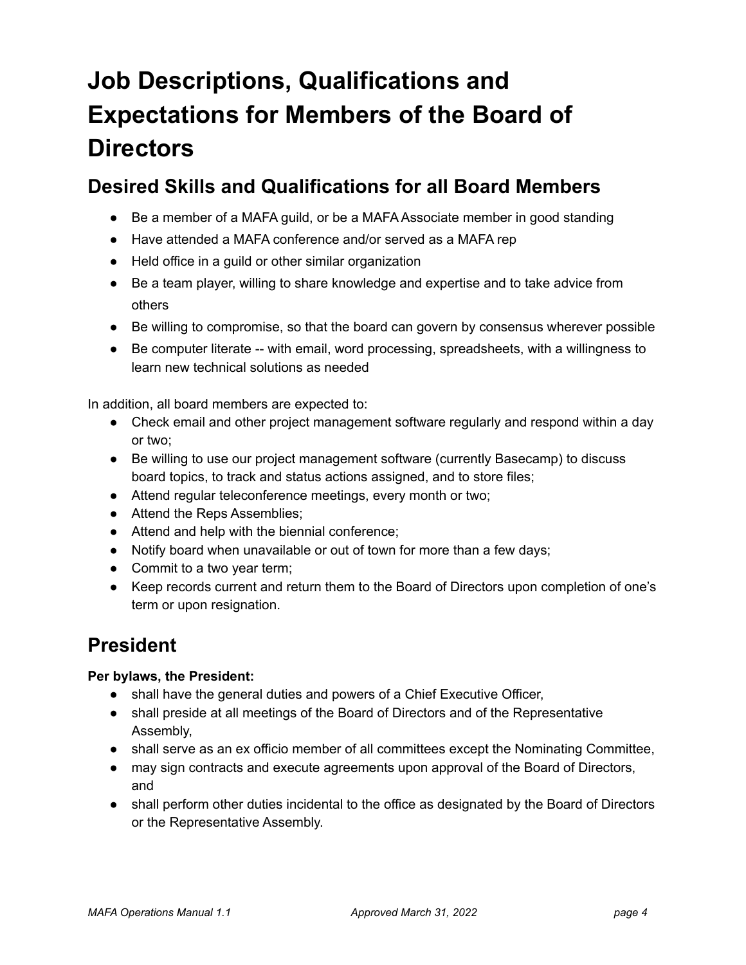# **Job Descriptions, Qualifications and Expectations for Members of the Board of Directors**

### <span id="page-3-0"></span>**Desired Skills and Qualifications for all Board Members**

- Be a member of a MAFA guild, or be a MAFA Associate member in good standing
- Have attended a MAFA conference and/or served as a MAFA rep
- Held office in a guild or other similar organization
- Be a team player, willing to share knowledge and expertise and to take advice from others
- Be willing to compromise, so that the board can govern by consensus wherever possible
- Be computer literate -- with email, word processing, spreadsheets, with a willingness to learn new technical solutions as needed

In addition, all board members are expected to:

- Check email and other project management software regularly and respond within a day or two;
- Be willing to use our project management software (currently Basecamp) to discuss board topics, to track and status actions assigned, and to store files;
- Attend regular teleconference meetings, every month or two;
- Attend the Reps Assemblies;
- Attend and help with the biennial conference;
- Notify board when unavailable or out of town for more than a few days;
- Commit to a two year term;
- Keep records current and return them to the Board of Directors upon completion of one's term or upon resignation.

### **President**

### **Per bylaws, the President:**

- shall have the general duties and powers of a Chief Executive Officer,
- shall preside at all meetings of the Board of Directors and of the Representative Assembly,
- shall serve as an ex officio member of all committees except the Nominating Committee,
- may sign contracts and execute agreements upon approval of the Board of Directors, and
- shall perform other duties incidental to the office as designated by the Board of Directors or the Representative Assembly.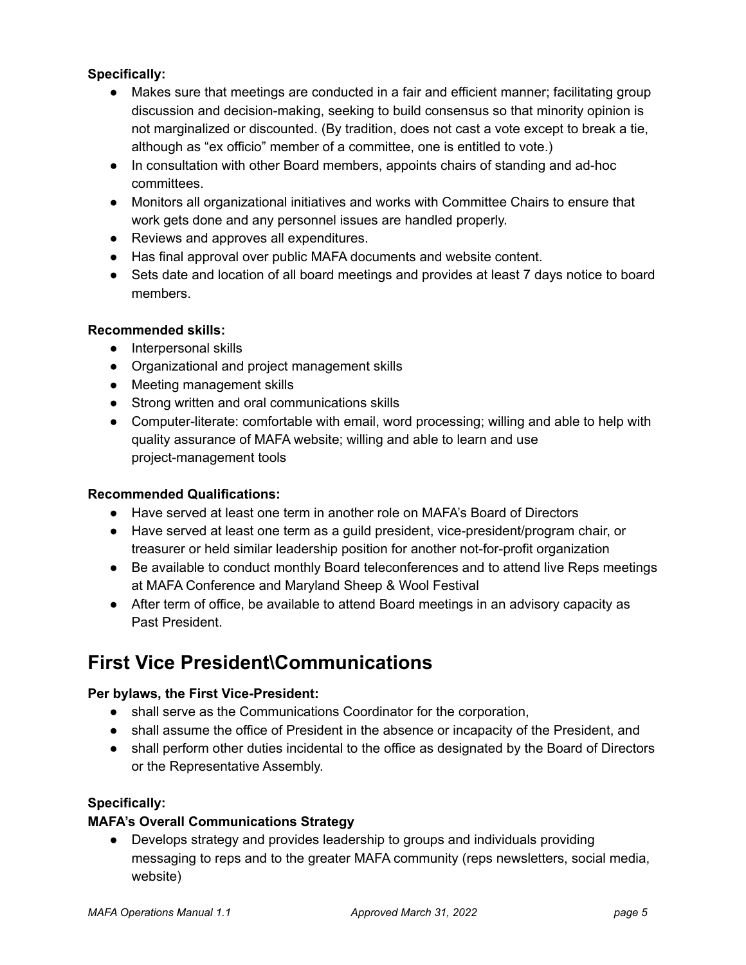### **Specifically:**

- Makes sure that meetings are conducted in a fair and efficient manner; facilitating group discussion and decision-making, seeking to build consensus so that minority opinion is not marginalized or discounted. (By tradition, does not cast a vote except to break a tie, although as "ex officio" member of a committee, one is entitled to vote.)
- In consultation with other Board members, appoints chairs of standing and ad-hoc committees.
- Monitors all organizational initiatives and works with Committee Chairs to ensure that work gets done and any personnel issues are handled properly.
- Reviews and approves all expenditures.
- Has final approval over public MAFA documents and website content.
- Sets date and location of all board meetings and provides at least 7 days notice to board members.

### **Recommended skills:**

- Interpersonal skills
- Organizational and project management skills
- Meeting management skills
- Strong written and oral communications skills
- Computer-literate: comfortable with email, word processing; willing and able to help with quality assurance of MAFA website; willing and able to learn and use project-management tools

### **Recommended Qualifications:**

- Have served at least one term in another role on MAFA's Board of Directors
- Have served at least one term as a quild president, vice-president/program chair, or treasurer or held similar leadership position for another not-for-profit organization
- Be available to conduct monthly Board teleconferences and to attend live Reps meetings at MAFA Conference and Maryland Sheep & Wool Festival
- After term of office, be available to attend Board meetings in an advisory capacity as Past President.

### **First Vice President\Communications**

### **Per bylaws, the First Vice-President:**

- shall serve as the Communications Coordinator for the corporation,
- shall assume the office of President in the absence or incapacity of the President, and
- shall perform other duties incidental to the office as designated by the Board of Directors or the Representative Assembly.

### **Specifically:**

### **MAFA's Overall Communications Strategy**

● Develops strategy and provides leadership to groups and individuals providing messaging to reps and to the greater MAFA community (reps newsletters, social media, website)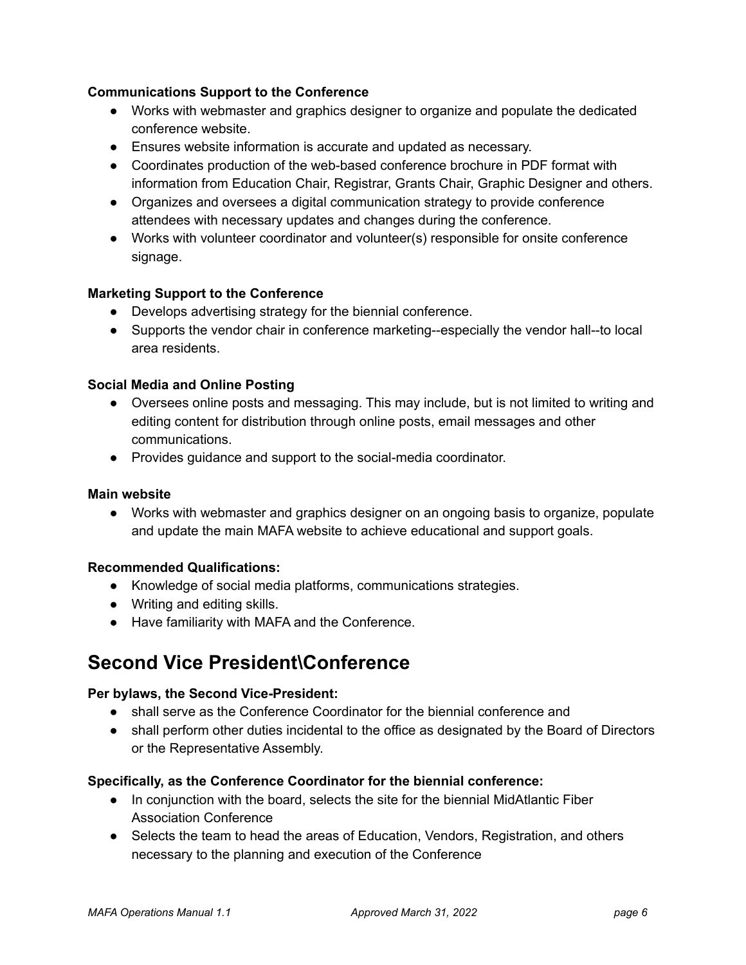### **Communications Support to the Conference**

- Works with webmaster and graphics designer to organize and populate the dedicated conference website.
- Ensures website information is accurate and updated as necessary.
- Coordinates production of the web-based conference brochure in PDF format with information from Education Chair, Registrar, Grants Chair, Graphic Designer and others.
- Organizes and oversees a digital communication strategy to provide conference attendees with necessary updates and changes during the conference.
- Works with volunteer coordinator and volunteer(s) responsible for onsite conference signage.

### **Marketing Support to the Conference**

- Develops advertising strategy for the biennial conference.
- Supports the vendor chair in conference marketing--especially the vendor hall--to local area residents.

### **Social Media and Online Posting**

- Oversees online posts and messaging. This may include, but is not limited to writing and editing content for distribution through online posts, email messages and other communications.
- Provides guidance and support to the social-media coordinator.

### **Main website**

**●** Works with webmaster and graphics designer on an ongoing basis to organize, populate and update the main MAFA website to achieve educational and support goals.

### **Recommended Qualifications:**

- **●** Knowledge of social media platforms, communications strategies.
- **●** Writing and editing skills.
- Have familiarity with MAFA and the Conference.

### **Second Vice President\Conference**

### **Per bylaws, the Second Vice-President:**

- shall serve as the Conference Coordinator for the biennial conference and
- shall perform other duties incidental to the office as designated by the Board of Directors or the Representative Assembly.

### **Specifically, as the Conference Coordinator for the biennial conference:**

- In conjunction with the board, selects the site for the biennial MidAtlantic Fiber Association Conference
- Selects the team to head the areas of Education, Vendors, Registration, and others necessary to the planning and execution of the Conference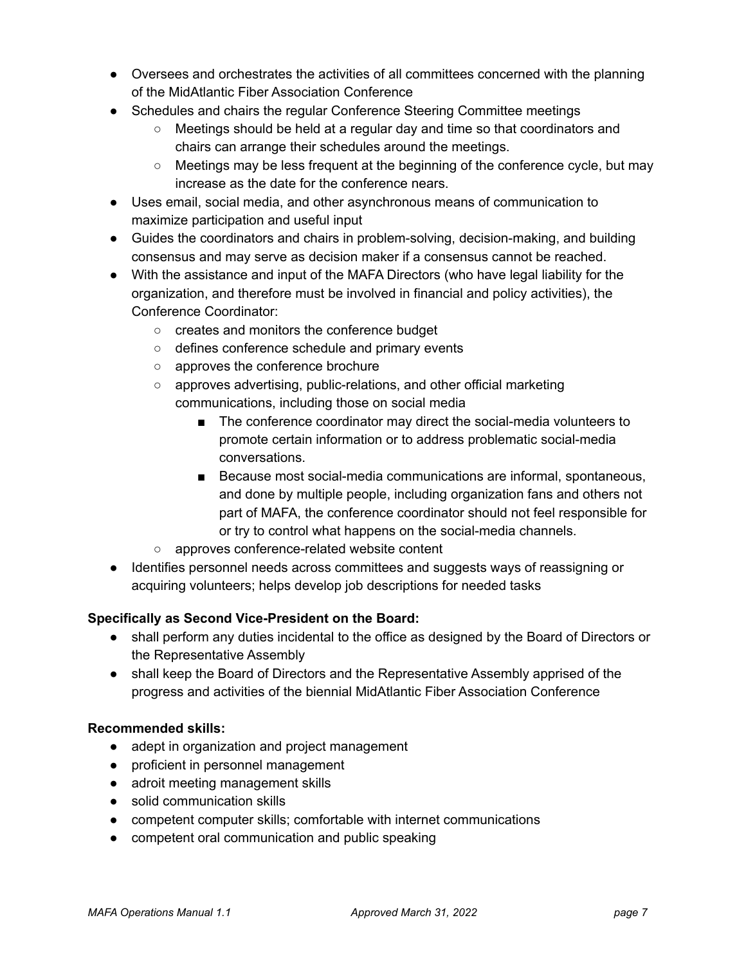- Oversees and orchestrates the activities of all committees concerned with the planning of the MidAtlantic Fiber Association Conference
- Schedules and chairs the regular Conference Steering Committee meetings
	- Meetings should be held at a regular day and time so that coordinators and chairs can arrange their schedules around the meetings.
	- Meetings may be less frequent at the beginning of the conference cycle, but may increase as the date for the conference nears.
- Uses email, social media, and other asynchronous means of communication to maximize participation and useful input
- Guides the coordinators and chairs in problem-solving, decision-making, and building consensus and may serve as decision maker if a consensus cannot be reached.
- With the assistance and input of the MAFA Directors (who have legal liability for the organization, and therefore must be involved in financial and policy activities), the Conference Coordinator:
	- creates and monitors the conference budget
	- defines conference schedule and primary events
	- approves the conference brochure
	- approves advertising, public-relations, and other official marketing communications, including those on social media
		- The conference coordinator may direct the social-media volunteers to promote certain information or to address problematic social-media conversations.
		- Because most social-media communications are informal, spontaneous, and done by multiple people, including organization fans and others not part of MAFA, the conference coordinator should not feel responsible for or try to control what happens on the social-media channels.
	- approves conference-related website content
- Identifies personnel needs across committees and suggests ways of reassigning or acquiring volunteers; helps develop job descriptions for needed tasks

### **Specifically as Second Vice-President on the Board:**

- shall perform any duties incidental to the office as designed by the Board of Directors or the Representative Assembly
- shall keep the Board of Directors and the Representative Assembly apprised of the progress and activities of the biennial MidAtlantic Fiber Association Conference

### **Recommended skills:**

- adept in organization and project management
- proficient in personnel management
- adroit meeting management skills
- solid communication skills
- competent computer skills; comfortable with internet communications
- competent oral communication and public speaking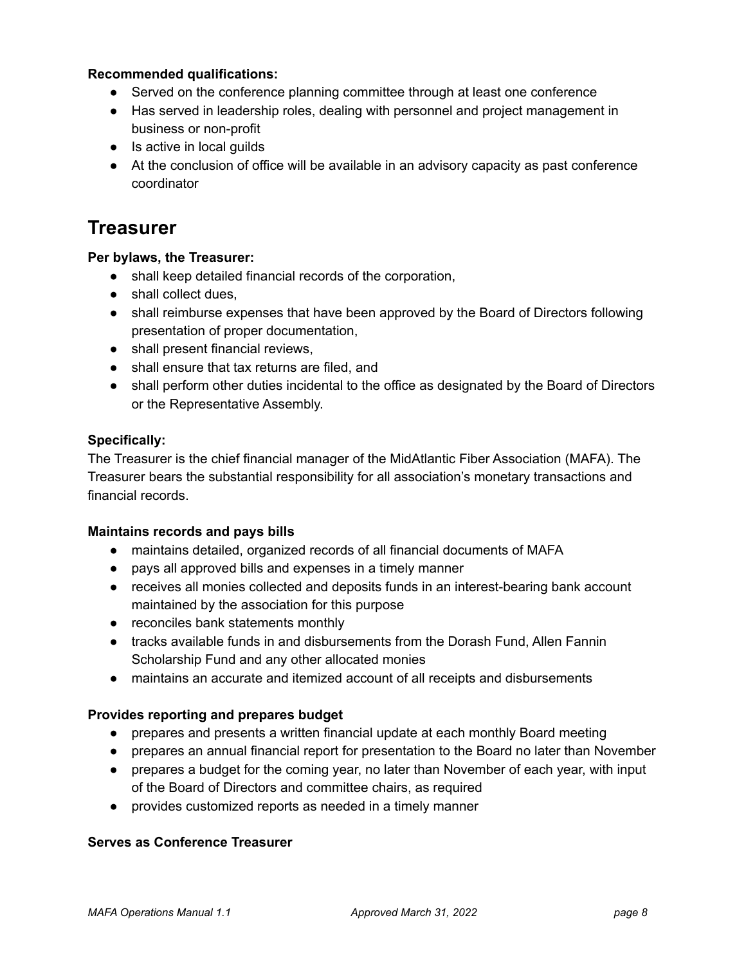### **Recommended qualifications:**

- Served on the conference planning committee through at least one conference
- Has served in leadership roles, dealing with personnel and project management in business or non-profit
- Is active in local guilds
- At the conclusion of office will be available in an advisory capacity as past conference coordinator

### **Treasurer**

### **Per bylaws, the Treasurer:**

- shall keep detailed financial records of the corporation,
- shall collect dues,
- shall reimburse expenses that have been approved by the Board of Directors following presentation of proper documentation,
- shall present financial reviews,
- shall ensure that tax returns are filed, and
- shall perform other duties incidental to the office as designated by the Board of Directors or the Representative Assembly.

#### **Specifically:**

The Treasurer is the chief financial manager of the MidAtlantic Fiber Association (MAFA). The Treasurer bears the substantial responsibility for all association's monetary transactions and financial records.

#### **Maintains records and pays bills**

- maintains detailed, organized records of all financial documents of MAFA
- pays all approved bills and expenses in a timely manner
- receives all monies collected and deposits funds in an interest-bearing bank account maintained by the association for this purpose
- reconciles bank statements monthly
- tracks available funds in and disbursements from the Dorash Fund, Allen Fannin Scholarship Fund and any other allocated monies
- maintains an accurate and itemized account of all receipts and disbursements

#### **Provides reporting and prepares budget**

- prepares and presents a written financial update at each monthly Board meeting
- prepares an annual financial report for presentation to the Board no later than November
- prepares a budget for the coming year, no later than November of each year, with input of the Board of Directors and committee chairs, as required
- provides customized reports as needed in a timely manner

#### **Serves as Conference Treasurer**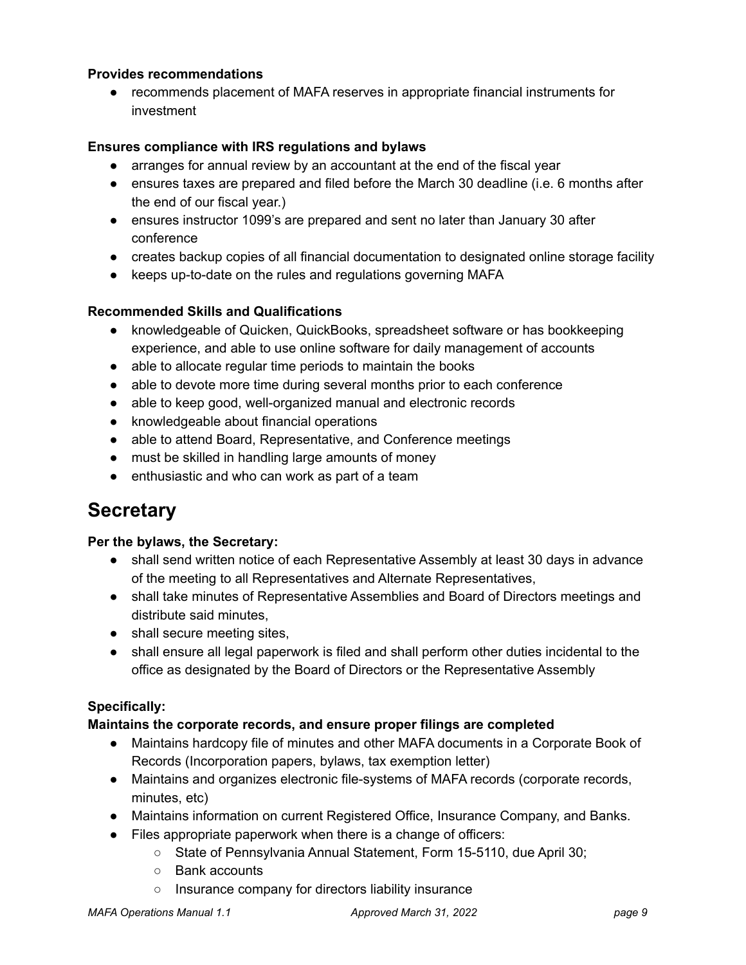### **Provides recommendations**

● recommends placement of MAFA reserves in appropriate financial instruments for investment

### **Ensures compliance with IRS regulations and bylaws**

- arranges for annual review by an accountant at the end of the fiscal year
- ensures taxes are prepared and filed before the March 30 deadline (i.e. 6 months after the end of our fiscal year.)
- ensures instructor 1099's are prepared and sent no later than January 30 after conference
- creates backup copies of all financial documentation to designated online storage facility
- keeps up-to-date on the rules and regulations governing MAFA

### **Recommended Skills and Qualifications**

- knowledgeable of Quicken, QuickBooks, spreadsheet software or has bookkeeping experience, and able to use online software for daily management of accounts
- able to allocate regular time periods to maintain the books
- able to devote more time during several months prior to each conference
- able to keep good, well-organized manual and electronic records
- knowledgeable about financial operations
- able to attend Board, Representative, and Conference meetings
- must be skilled in handling large amounts of money
- enthusiastic and who can work as part of a team

### **Secretary**

### **Per the bylaws, the Secretary:**

- shall send written notice of each Representative Assembly at least 30 days in advance of the meeting to all Representatives and Alternate Representatives,
- shall take minutes of Representative Assemblies and Board of Directors meetings and distribute said minutes,
- shall secure meeting sites.
- shall ensure all legal paperwork is filed and shall perform other duties incidental to the office as designated by the Board of Directors or the Representative Assembly

### **Specifically:**

### **Maintains the corporate records, and ensure proper filings are completed**

- Maintains hardcopy file of minutes and other MAFA documents in a Corporate Book of Records (Incorporation papers, bylaws, tax exemption letter)
- Maintains and organizes electronic file-systems of MAFA records (corporate records, minutes, etc)
- Maintains information on current Registered Office, Insurance Company, and Banks.
- Files appropriate paperwork when there is a change of officers:
	- State of Pennsylvania Annual Statement, Form 15-5110, due April 30;
	- Bank accounts
	- Insurance company for directors liability insurance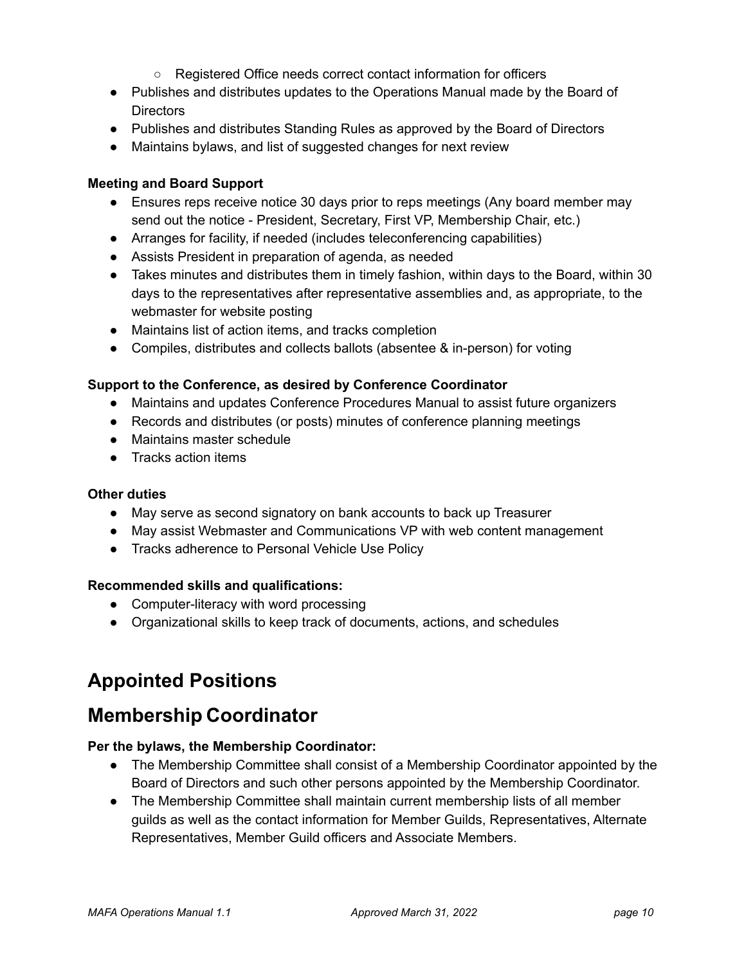- Registered Office needs correct contact information for officers
- Publishes and distributes updates to the Operations Manual made by the Board of **Directors**
- Publishes and distributes Standing Rules as approved by the Board of Directors
- Maintains bylaws, and list of suggested changes for next review

### **Meeting and Board Support**

- Ensures reps receive notice 30 days prior to reps meetings (Any board member may send out the notice - President, Secretary, First VP, Membership Chair, etc.)
- Arranges for facility, if needed (includes teleconferencing capabilities)
- Assists President in preparation of agenda, as needed
- Takes minutes and distributes them in timely fashion, within days to the Board, within 30 days to the representatives after representative assemblies and, as appropriate, to the webmaster for website posting
- Maintains list of action items, and tracks completion
- Compiles, distributes and collects ballots (absentee & in-person) for voting

### **Support to the Conference, as desired by Conference Coordinator**

- Maintains and updates Conference Procedures Manual to assist future organizers
- Records and distributes (or posts) minutes of conference planning meetings
- Maintains master schedule
- Tracks action items

### **Other duties**

- May serve as second signatory on bank accounts to back up Treasurer
- May assist Webmaster and Communications VP with web content management
- Tracks adherence to Personal Vehicle Use Policy

### **Recommended skills and qualifications:**

- Computer-literacy with word processing
- Organizational skills to keep track of documents, actions, and schedules

### **Appointed Positions**

### **Membership Coordinator**

### **Per the bylaws, the Membership Coordinator:**

- The Membership Committee shall consist of a Membership Coordinator appointed by the Board of Directors and such other persons appointed by the Membership Coordinator.
- The Membership Committee shall maintain current membership lists of all member guilds as well as the contact information for Member Guilds, Representatives, Alternate Representatives, Member Guild officers and Associate Members.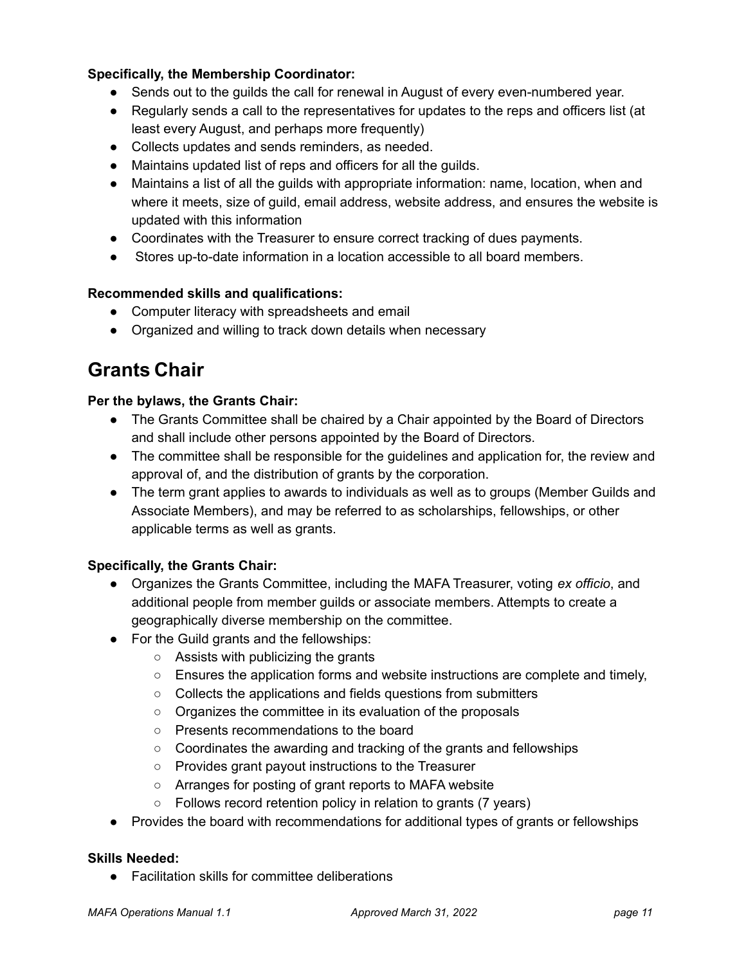### **Specifically, the Membership Coordinator:**

- Sends out to the guilds the call for renewal in August of every even-numbered year.
- Regularly sends a call to the representatives for updates to the reps and officers list (at least every August, and perhaps more frequently)
- Collects updates and sends reminders, as needed.
- Maintains updated list of reps and officers for all the guilds.
- Maintains a list of all the guilds with appropriate information: name, location, when and where it meets, size of guild, email address, website address, and ensures the website is updated with this information
- Coordinates with the Treasurer to ensure correct tracking of dues payments.
- Stores up-to-date information in a location accessible to all board members.

### **Recommended skills and qualifications:**

- Computer literacy with spreadsheets and email
- Organized and willing to track down details when necessary

### **Grants Chair**

### **Per the bylaws, the Grants Chair:**

- The Grants Committee shall be chaired by a Chair appointed by the Board of Directors and shall include other persons appointed by the Board of Directors.
- The committee shall be responsible for the quidelines and application for, the review and approval of, and the distribution of grants by the corporation.
- The term grant applies to awards to individuals as well as to groups (Member Guilds and Associate Members), and may be referred to as scholarships, fellowships, or other applicable terms as well as grants.

### **Specifically, the Grants Chair:**

- Organizes the Grants Committee, including the MAFA Treasurer, voting *ex officio*, and additional people from member guilds or associate members. Attempts to create a geographically diverse membership on the committee.
- For the Guild grants and the fellowships:
	- Assists with publicizing the grants
	- $\circ$  Ensures the application forms and website instructions are complete and timely,
	- Collects the applications and fields questions from submitters
	- Organizes the committee in its evaluation of the proposals
	- Presents recommendations to the board
	- $\circ$  Coordinates the awarding and tracking of the grants and fellowships
	- Provides grant payout instructions to the Treasurer
	- Arranges for posting of grant reports to MAFA website
	- Follows record retention policy in relation to grants (7 years)
- Provides the board with recommendations for additional types of grants or fellowships

### **Skills Needed:**

● Facilitation skills for committee deliberations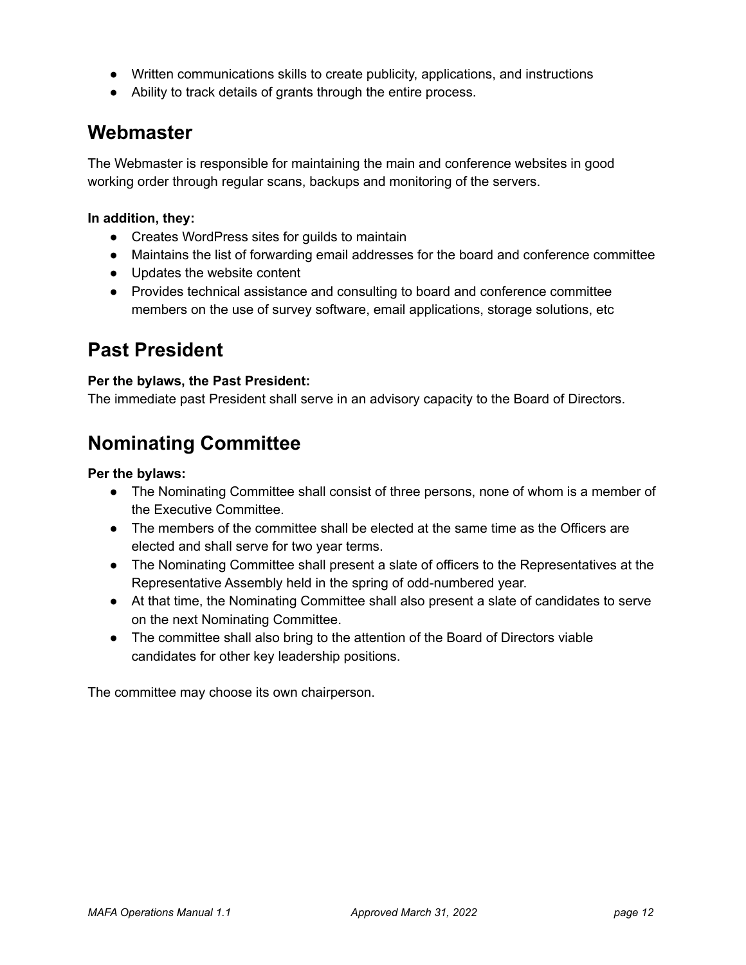- Written communications skills to create publicity, applications, and instructions
- Ability to track details of grants through the entire process.

### **Webmaster**

The Webmaster is responsible for maintaining the main and conference websites in good working order through regular scans, backups and monitoring of the servers.

### **In addition, they:**

- Creates WordPress sites for guilds to maintain
- Maintains the list of forwarding email addresses for the board and conference committee
- Updates the website content
- Provides technical assistance and consulting to board and conference committee members on the use of survey software, email applications, storage solutions, etc

### **Past President**

### **Per the bylaws, the Past President:**

The immediate past President shall serve in an advisory capacity to the Board of Directors.

### **Nominating Committee**

#### **Per the bylaws:**

- The Nominating Committee shall consist of three persons, none of whom is a member of the Executive Committee.
- The members of the committee shall be elected at the same time as the Officers are elected and shall serve for two year terms.
- The Nominating Committee shall present a slate of officers to the Representatives at the Representative Assembly held in the spring of odd-numbered year.
- At that time, the Nominating Committee shall also present a slate of candidates to serve on the next Nominating Committee.
- The committee shall also bring to the attention of the Board of Directors viable candidates for other key leadership positions.

The committee may choose its own chairperson.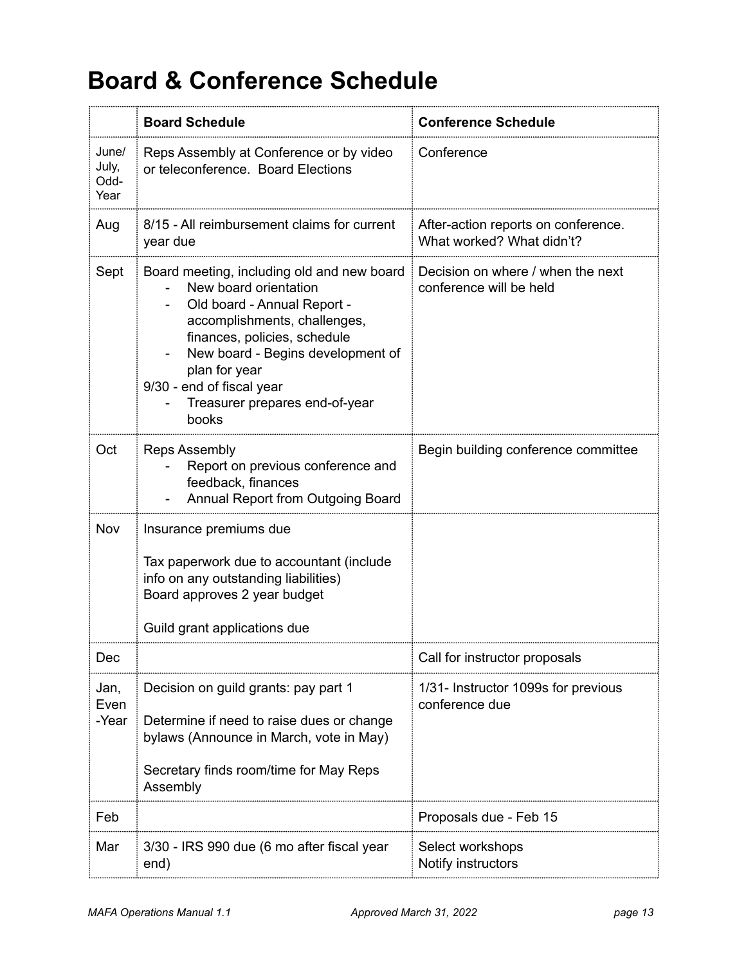## <span id="page-12-0"></span>**Board & Conference Schedule**

|                                | <b>Board Schedule</b>                                                                                                                                                                                                                                                                            | <b>Conference Schedule</b>                                       |
|--------------------------------|--------------------------------------------------------------------------------------------------------------------------------------------------------------------------------------------------------------------------------------------------------------------------------------------------|------------------------------------------------------------------|
| June/<br>July,<br>Odd-<br>Year | Reps Assembly at Conference or by video<br>or teleconference. Board Elections                                                                                                                                                                                                                    | Conference                                                       |
| Aug                            | 8/15 - All reimbursement claims for current<br>year due                                                                                                                                                                                                                                          | After-action reports on conference.<br>What worked? What didn't? |
| Sept                           | Board meeting, including old and new board<br>New board orientation<br>Old board - Annual Report -<br>accomplishments, challenges,<br>finances, policies, schedule<br>New board - Begins development of<br>plan for year<br>9/30 - end of fiscal year<br>Treasurer prepares end-of-year<br>books | Decision on where / when the next<br>conference will be held     |
| Oct                            | <b>Reps Assembly</b><br>Report on previous conference and<br>feedback, finances<br>Annual Report from Outgoing Board                                                                                                                                                                             | Begin building conference committee                              |
| Nov                            | Insurance premiums due<br>Tax paperwork due to accountant (include<br>info on any outstanding liabilities)<br>Board approves 2 year budget<br>Guild grant applications due                                                                                                                       |                                                                  |
| Dec                            |                                                                                                                                                                                                                                                                                                  | Call for instructor proposals                                    |
| Jan,<br>Even<br>-Year          | Decision on guild grants: pay part 1<br>Determine if need to raise dues or change<br>bylaws (Announce in March, vote in May)<br>Secretary finds room/time for May Reps<br>Assembly                                                                                                               | 1/31- Instructor 1099s for previous<br>conference due            |
| Feb                            |                                                                                                                                                                                                                                                                                                  | Proposals due - Feb 15                                           |
| Mar                            | 3/30 - IRS 990 due (6 mo after fiscal year<br>end)                                                                                                                                                                                                                                               | Select workshops<br>Notify instructors                           |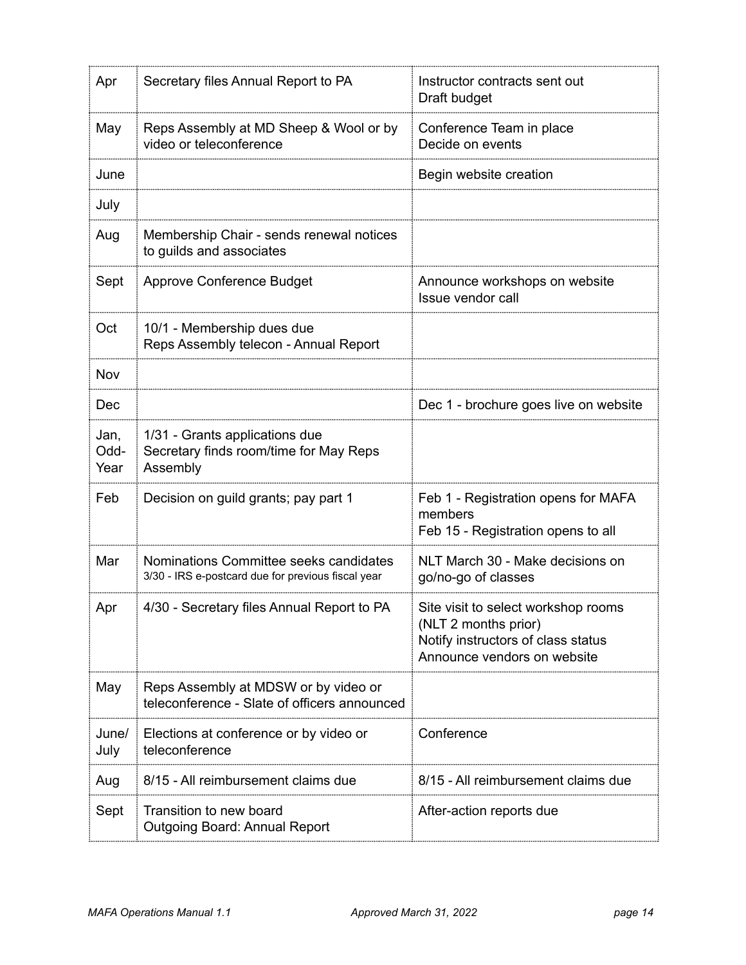| Apr                  | Secretary files Annual Report to PA                                                          | Instructor contracts sent out<br>Draft budget                                                                                    |
|----------------------|----------------------------------------------------------------------------------------------|----------------------------------------------------------------------------------------------------------------------------------|
| May                  | Reps Assembly at MD Sheep & Wool or by<br>video or teleconference                            | Conference Team in place<br>Decide on events                                                                                     |
| June                 |                                                                                              | Begin website creation                                                                                                           |
| July                 |                                                                                              |                                                                                                                                  |
| Aug                  | Membership Chair - sends renewal notices<br>to guilds and associates                         |                                                                                                                                  |
| Sept                 | Approve Conference Budget                                                                    | Announce workshops on website<br>Issue vendor call                                                                               |
| Oct                  | 10/1 - Membership dues due<br>Reps Assembly telecon - Annual Report                          |                                                                                                                                  |
| Nov                  |                                                                                              |                                                                                                                                  |
| Dec                  |                                                                                              | Dec 1 - brochure goes live on website                                                                                            |
| Jan,<br>Odd-<br>Year | 1/31 - Grants applications due<br>Secretary finds room/time for May Reps<br>Assembly         |                                                                                                                                  |
| Feb                  | Decision on guild grants; pay part 1                                                         | Feb 1 - Registration opens for MAFA<br>members<br>Feb 15 - Registration opens to all                                             |
| Mar                  | Nominations Committee seeks candidates<br>3/30 - IRS e-postcard due for previous fiscal year | NLT March 30 - Make decisions on<br>go/no-go of classes                                                                          |
| Apr                  | 4/30 - Secretary files Annual Report to PA                                                   | Site visit to select workshop rooms<br>(NLT 2 months prior)<br>Notify instructors of class status<br>Announce vendors on website |
| May                  | Reps Assembly at MDSW or by video or<br>teleconference - Slate of officers announced         |                                                                                                                                  |
| June/<br>July        | Elections at conference or by video or<br>teleconference                                     | Conference                                                                                                                       |
| Aug                  | 8/15 - All reimbursement claims due                                                          | 8/15 - All reimbursement claims due                                                                                              |
| Sept                 | Transition to new board<br><b>Outgoing Board: Annual Report</b>                              | After-action reports due                                                                                                         |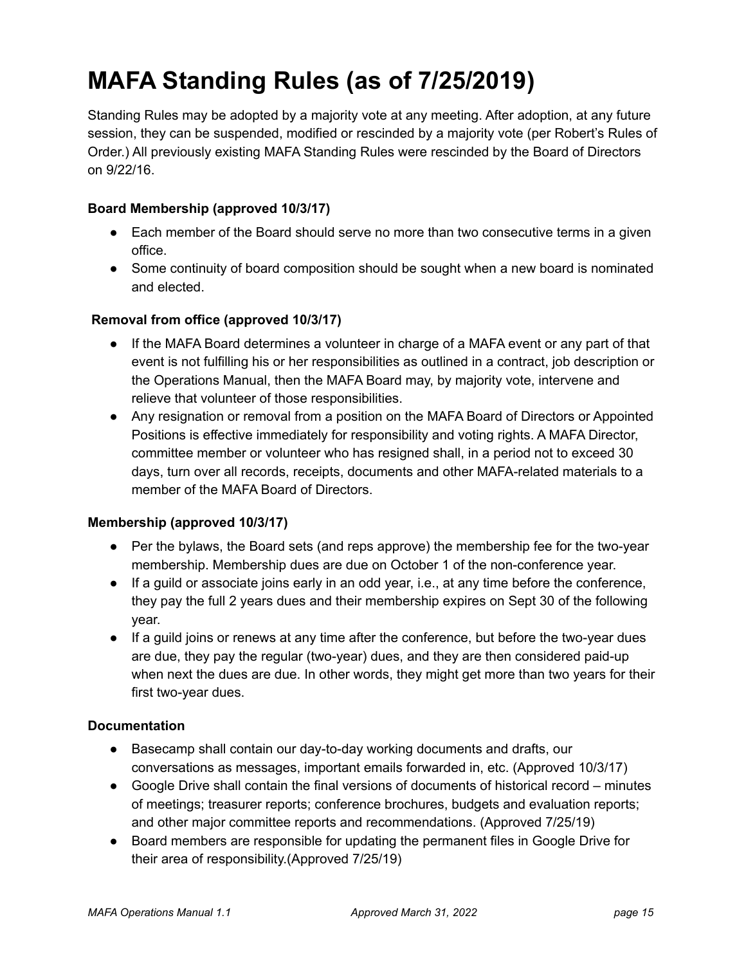## <span id="page-14-0"></span>**MAFA Standing Rules (as of 7/25/2019)**

Standing Rules may be adopted by a majority vote at any meeting. After adoption, at any future session, they can be suspended, modified or rescinded by a majority vote (per Robert's Rules of Order.) All previously existing MAFA Standing Rules were rescinded by the Board of Directors on 9/22/16.

### **Board Membership (approved 10/3/17)**

- Each member of the Board should serve no more than two consecutive terms in a given office.
- Some continuity of board composition should be sought when a new board is nominated and elected.

### **Removal from office (approved 10/3/17)**

- If the MAFA Board determines a volunteer in charge of a MAFA event or any part of that event is not fulfilling his or her responsibilities as outlined in a contract, job description or the Operations Manual, then the MAFA Board may, by majority vote, intervene and relieve that volunteer of those responsibilities.
- Any resignation or removal from a position on the MAFA Board of Directors or Appointed Positions is effective immediately for responsibility and voting rights. A MAFA Director, committee member or volunteer who has resigned shall, in a period not to exceed 30 days, turn over all records, receipts, documents and other MAFA-related materials to a member of the MAFA Board of Directors.

### **Membership (approved 10/3/17)**

- Per the bylaws, the Board sets (and reps approve) the membership fee for the two-year membership. Membership dues are due on October 1 of the non-conference year.
- If a guild or associate joins early in an odd year, i.e., at any time before the conference, they pay the full 2 years dues and their membership expires on Sept 30 of the following year.
- If a guild joins or renews at any time after the conference, but before the two-year dues are due, they pay the regular (two-year) dues, and they are then considered paid-up when next the dues are due. In other words, they might get more than two years for their first two-year dues.

### **Documentation**

- Basecamp shall contain our day-to-day working documents and drafts, our conversations as messages, important emails forwarded in, etc. (Approved 10/3/17)
- Google Drive shall contain the final versions of documents of historical record minutes of meetings; treasurer reports; conference brochures, budgets and evaluation reports; and other major committee reports and recommendations. (Approved 7/25/19)
- Board members are responsible for updating the permanent files in Google Drive for their area of responsibility.(Approved 7/25/19)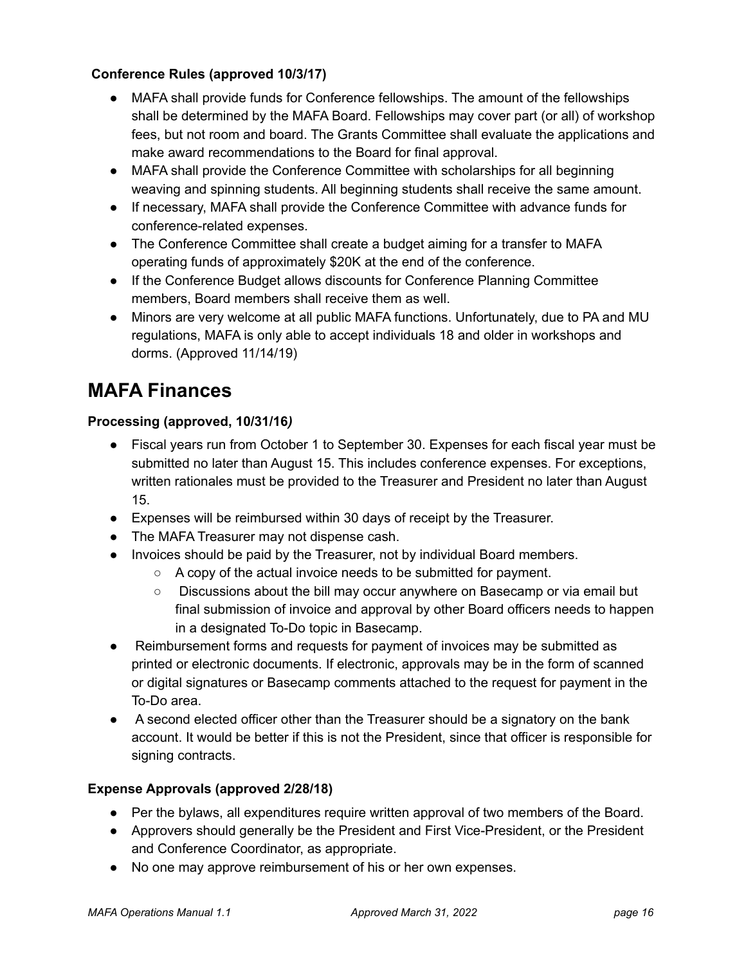### **Conference Rules (approved 10/3/17)**

- MAFA shall provide funds for Conference fellowships. The amount of the fellowships shall be determined by the MAFA Board. Fellowships may cover part (or all) of workshop fees, but not room and board. The Grants Committee shall evaluate the applications and make award recommendations to the Board for final approval.
- MAFA shall provide the Conference Committee with scholarships for all beginning weaving and spinning students. All beginning students shall receive the same amount.
- If necessary, MAFA shall provide the Conference Committee with advance funds for conference-related expenses.
- The Conference Committee shall create a budget aiming for a transfer to MAFA operating funds of approximately \$20K at the end of the conference.
- If the Conference Budget allows discounts for Conference Planning Committee members, Board members shall receive them as well.
- Minors are very welcome at all public MAFA functions. Unfortunately, due to PA and MU regulations, MAFA is only able to accept individuals 18 and older in workshops and dorms. (Approved 11/14/19)

### **MAFA Finances**

### **Processing (approved, 10/31/16***)*

- Fiscal years run from October 1 to September 30. Expenses for each fiscal year must be submitted no later than August 15. This includes conference expenses. For exceptions, written rationales must be provided to the Treasurer and President no later than August 15.
- Expenses will be reimbursed within 30 days of receipt by the Treasurer.
- The MAFA Treasurer may not dispense cash.
- Invoices should be paid by the Treasurer, not by individual Board members.
	- A copy of the actual invoice needs to be submitted for payment.
	- Discussions about the bill may occur anywhere on Basecamp or via email but final submission of invoice and approval by other Board officers needs to happen in a designated To-Do topic in Basecamp.
- Reimbursement forms and requests for payment of invoices may be submitted as printed or electronic documents. If electronic, approvals may be in the form of scanned or digital signatures or Basecamp comments attached to the request for payment in the To-Do area.
- A second elected officer other than the Treasurer should be a signatory on the bank account. It would be better if this is not the President, since that officer is responsible for signing contracts.

### **Expense Approvals (approved 2/28/18)**

- Per the bylaws, all expenditures require written approval of two members of the Board.
- Approvers should generally be the President and First Vice-President, or the President and Conference Coordinator, as appropriate.
- No one may approve reimbursement of his or her own expenses.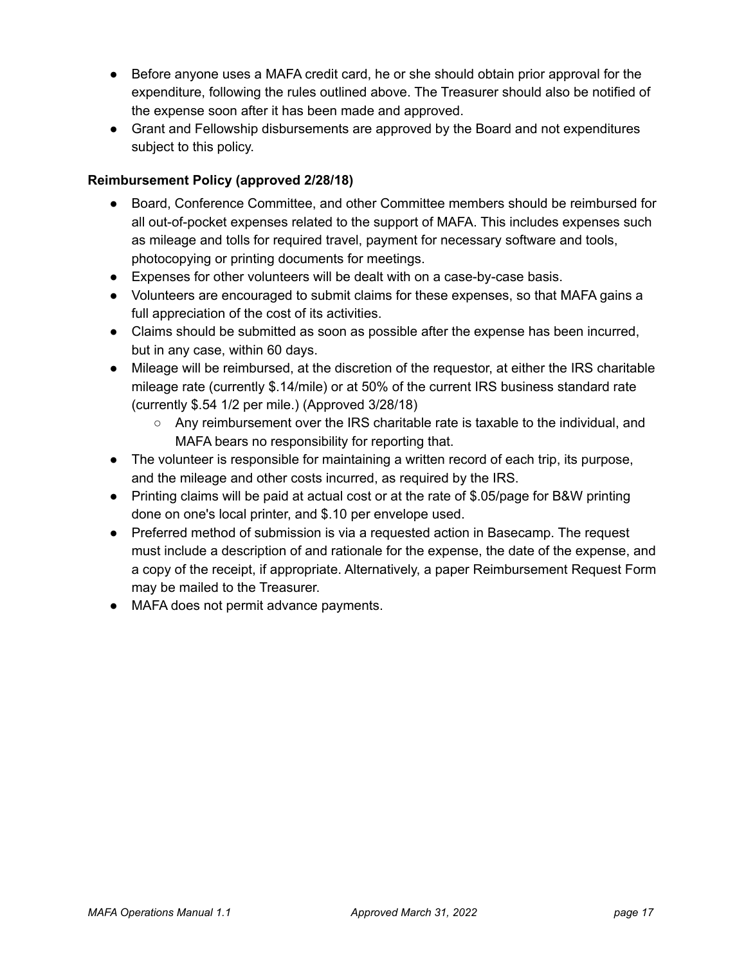- Before anyone uses a MAFA credit card, he or she should obtain prior approval for the expenditure, following the rules outlined above. The Treasurer should also be notified of the expense soon after it has been made and approved.
- Grant and Fellowship disbursements are approved by the Board and not expenditures subject to this policy.

### <span id="page-16-0"></span>**Reimbursement Policy (approved 2/28/18)**

- Board, Conference Committee, and other Committee members should be reimbursed for all out-of-pocket expenses related to the support of MAFA. This includes expenses such as mileage and tolls for required travel, payment for necessary software and tools, photocopying or printing documents for meetings.
- Expenses for other volunteers will be dealt with on a case-by-case basis.
- Volunteers are encouraged to submit claims for these expenses, so that MAFA gains a full appreciation of the cost of its activities.
- Claims should be submitted as soon as possible after the expense has been incurred, but in any case, within 60 days.
- Mileage will be reimbursed, at the discretion of the requestor, at either the IRS charitable mileage rate (currently \$.14/mile) or at 50% of the current IRS business standard rate (currently \$.54 1/2 per mile.) (Approved 3/28/18)
	- Any reimbursement over the IRS charitable rate is taxable to the individual, and MAFA bears no responsibility for reporting that.
- The volunteer is responsible for maintaining a written record of each trip, its purpose, and the mileage and other costs incurred, as required by the IRS.
- Printing claims will be paid at actual cost or at the rate of \$.05/page for B&W printing done on one's local printer, and \$.10 per envelope used.
- Preferred method of submission is via a requested action in Basecamp. The request must include a description of and rationale for the expense, the date of the expense, and a copy of the receipt, if appropriate. Alternatively, a paper Reimbursement Request Form may be mailed to the Treasurer.
- MAFA does not permit advance payments.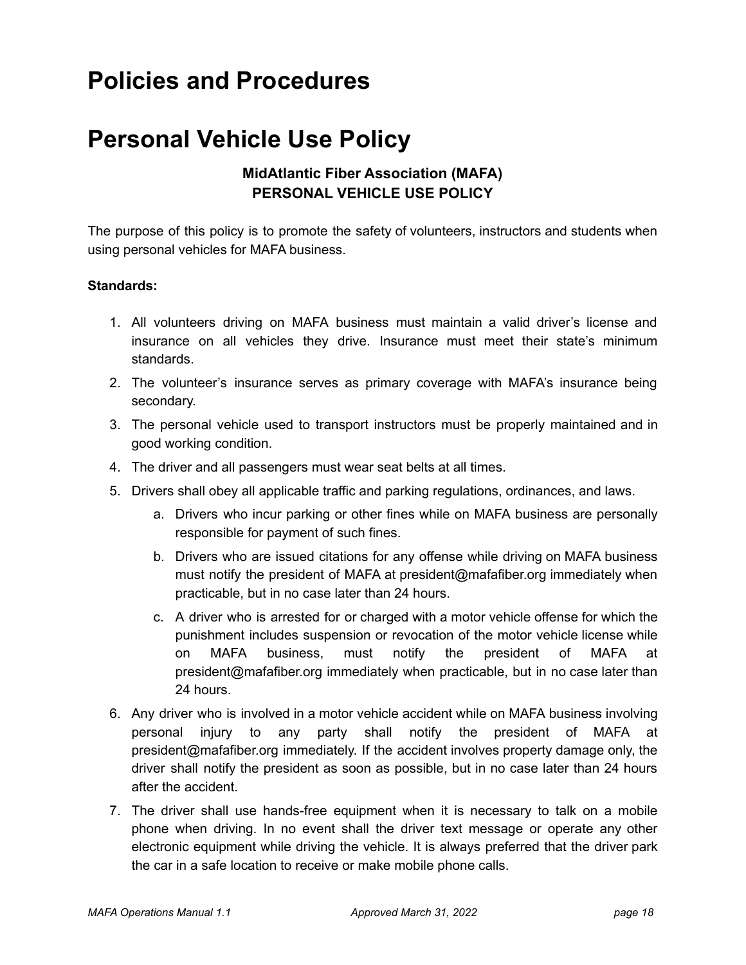## <span id="page-17-0"></span>**Policies and Procedures**

## **Personal Vehicle Use Policy**

### **MidAtlantic Fiber Association (MAFA) PERSONAL VEHICLE USE POLICY**

The purpose of this policy is to promote the safety of volunteers, instructors and students when using personal vehicles for MAFA business.

### **Standards:**

- 1. All volunteers driving on MAFA business must maintain a valid driver's license and insurance on all vehicles they drive. Insurance must meet their state's minimum standards.
- 2. The volunteer's insurance serves as primary coverage with MAFA's insurance being secondary.
- 3. The personal vehicle used to transport instructors must be properly maintained and in good working condition.
- 4. The driver and all passengers must wear seat belts at all times.
- 5. Drivers shall obey all applicable traffic and parking regulations, ordinances, and laws.
	- a. Drivers who incur parking or other fines while on MAFA business are personally responsible for payment of such fines.
	- b. Drivers who are issued citations for any offense while driving on MAFA business must notify the president of MAFA at president@mafafiber.org immediately when practicable, but in no case later than 24 hours.
	- c. A driver who is arrested for or charged with a motor vehicle offense for which the punishment includes suspension or revocation of the motor vehicle license while on MAFA business, must notify the president of MAFA at president@mafafiber.org immediately when practicable, but in no case later than 24 hours.
- 6. Any driver who is involved in a motor vehicle accident while on MAFA business involving personal injury to any party shall notify the president of MAFA at president@mafafiber.org immediately. If the accident involves property damage only, the driver shall notify the president as soon as possible, but in no case later than 24 hours after the accident.
- 7. The driver shall use hands-free equipment when it is necessary to talk on a mobile phone when driving. In no event shall the driver text message or operate any other electronic equipment while driving the vehicle. It is always preferred that the driver park the car in a safe location to receive or make mobile phone calls.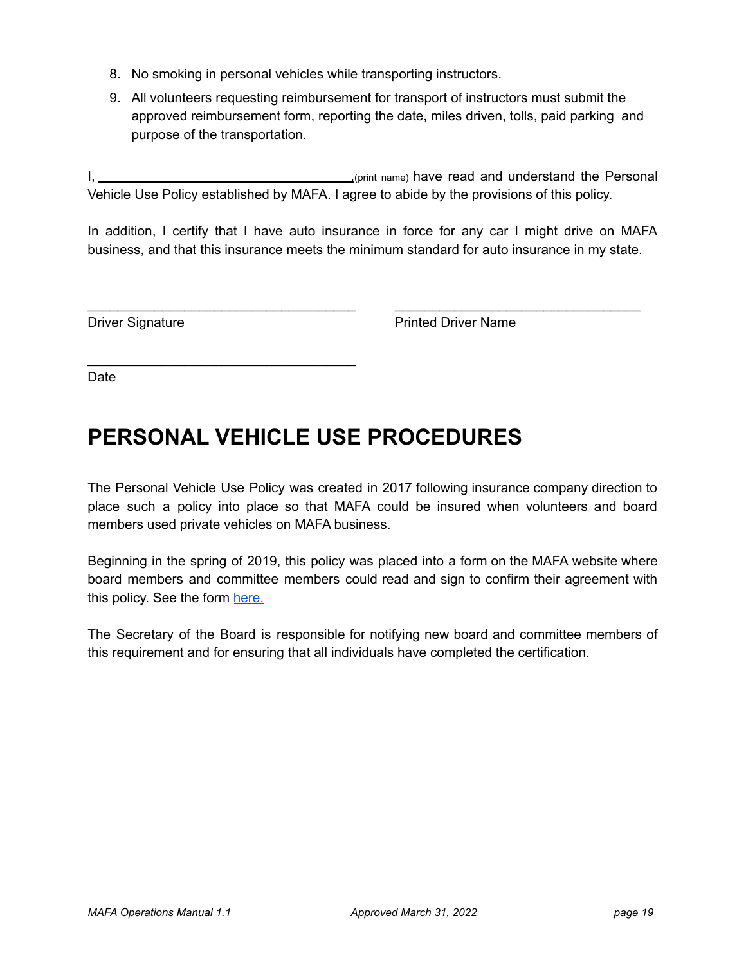- 8. No smoking in personal vehicles while transporting instructors.
- 9. All volunteers requesting reimbursement for transport of instructors must submit the approved reimbursement form, reporting the date, miles driven, tolls, paid parking and purpose of the transportation.

I, 1. All 2013 (print name) have read and understand the Personal Vehicle Use Policy established by MAFA. I agree to abide by the provisions of this policy.

In addition, I certify that I have auto insurance in force for any car I might drive on MAFA business, and that this insurance meets the minimum standard for auto insurance in my state.

\_\_\_\_\_\_\_\_\_\_\_\_\_\_\_\_\_\_\_\_\_\_\_\_\_\_\_\_\_\_\_\_\_\_\_\_ \_\_\_\_\_\_\_\_\_\_\_\_\_\_\_\_\_\_\_\_\_\_\_\_\_\_\_\_\_\_\_\_\_

\_\_\_\_\_\_\_\_\_\_\_\_\_\_\_\_\_\_\_\_\_\_\_\_\_\_\_\_\_\_\_\_\_\_\_\_

Driver Signature **Printed Driver Name** 

Date

## <span id="page-18-0"></span>**PERSONAL VEHICLE USE PROCEDURES**

The Personal Vehicle Use Policy was created in 2017 following insurance company direction to place such a policy into place so that MAFA could be insured when volunteers and board members used private vehicles on MAFA business.

Beginning in the spring of 2019, this policy was placed into a form on the MAFA website where board members and committee members could read and sign to confirm their agreement with this policy. See the form [here.](https://mafafiber.org/mafa-personal-vehicle-use-policy/)

The Secretary of the Board is responsible for notifying new board and committee members of this requirement and for ensuring that all individuals have completed the certification.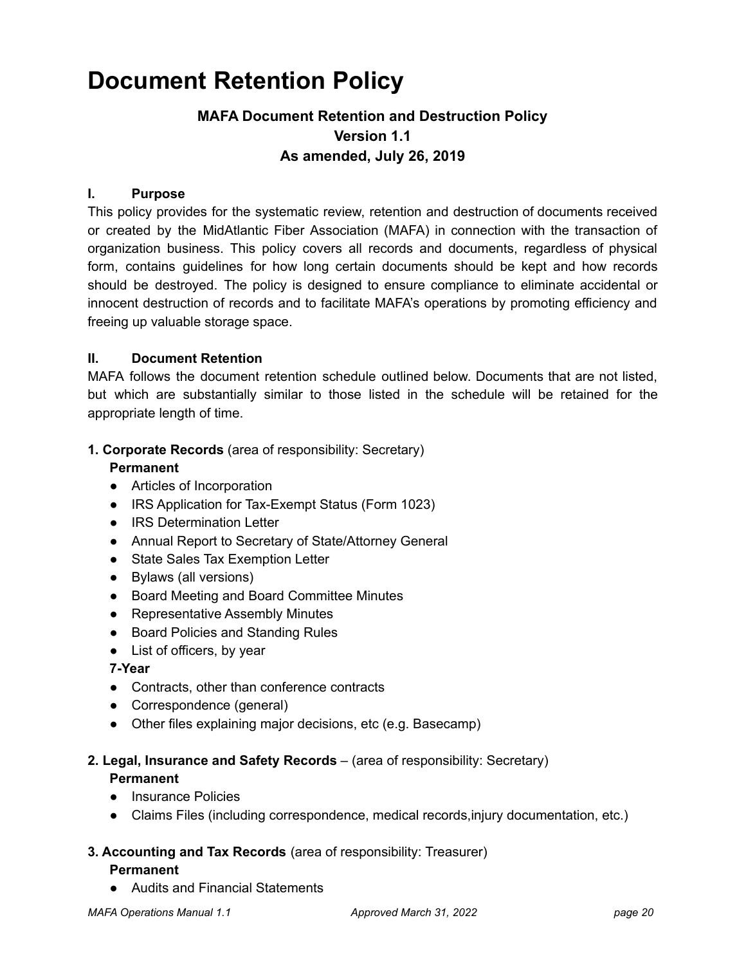## <span id="page-19-0"></span>**Document Retention Policy**

### **MAFA Document Retention and Destruction Policy Version 1.1 As amended, July 26, 2019**

### **I. Purpose**

This policy provides for the systematic review, retention and destruction of documents received or created by the MidAtlantic Fiber Association (MAFA) in connection with the transaction of organization business. This policy covers all records and documents, regardless of physical form, contains guidelines for how long certain documents should be kept and how records should be destroyed. The policy is designed to ensure compliance to eliminate accidental or innocent destruction of records and to facilitate MAFA's operations by promoting efficiency and freeing up valuable storage space.

### **II. Document Retention**

MAFA follows the document retention schedule outlined below. Documents that are not listed, but which are substantially similar to those listed in the schedule will be retained for the appropriate length of time.

### **1. Corporate Records** (area of responsibility: Secretary)

### **Permanent**

- Articles of Incorporation
- IRS Application for Tax-Exempt Status (Form 1023)
- IRS Determination Letter
- Annual Report to Secretary of State/Attorney General
- State Sales Tax Exemption Letter
- Bylaws (all versions)
- Board Meeting and Board Committee Minutes
- Representative Assembly Minutes
- Board Policies and Standing Rules
- List of officers, by year

### **7-Year**

- Contracts, other than conference contracts
- Correspondence (general)
- Other files explaining major decisions, etc (e.g. Basecamp)

### **2. Legal, Insurance and Safety Records** – (area of responsibility: Secretary) **Permanent**

- Insurance Policies
- Claims Files (including correspondence, medical records,injury documentation, etc.)

### **3. Accounting and Tax Records** (area of responsibility: Treasurer) **Permanent**

● Audits and Financial Statements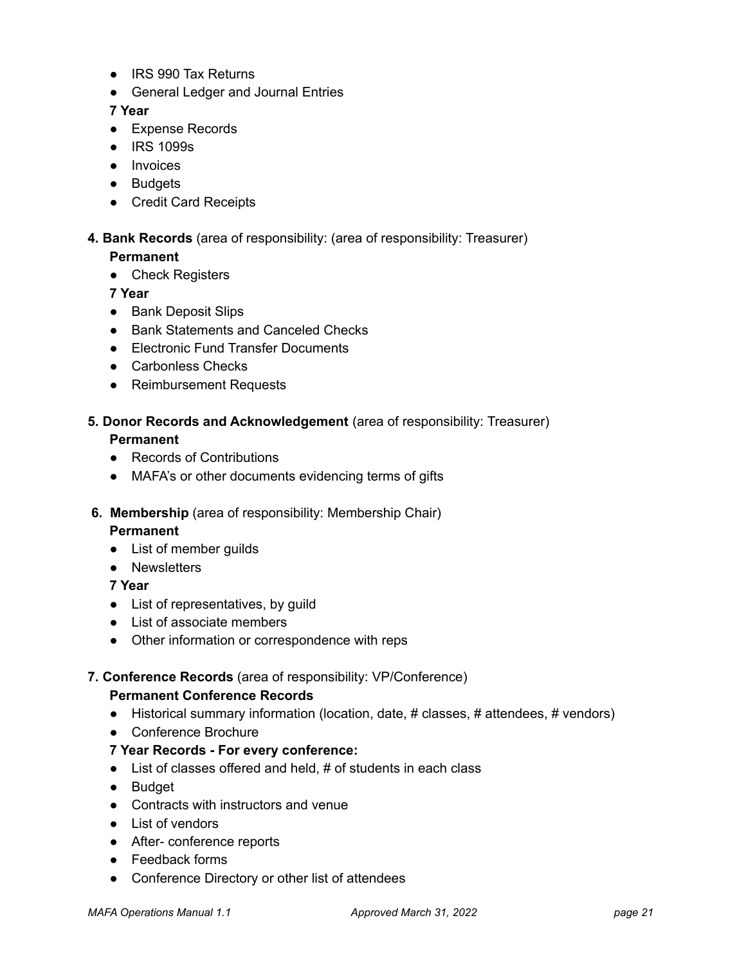- IRS 990 Tax Returns
- General Ledger and Journal Entries

### **7 Year**

- Expense Records
- IRS 1099s
- Invoices
- Budgets
- Credit Card Receipts

### **4. Bank Records** (area of responsibility: (area of responsibility: Treasurer)

### **Permanent**

● Check Registers

**7 Year**

- Bank Deposit Slips
- Bank Statements and Canceled Checks
- Electronic Fund Transfer Documents
- Carbonless Checks
- Reimbursement Requests

### **5. Donor Records and Acknowledgement** (area of responsibility: Treasurer) **Permanent**

- Records of Contributions
- MAFA's or other documents evidencing terms of gifts
- **6. Membership** (area of responsibility: Membership Chair)

#### **Permanent**

- List of member guilds
- Newsletters

### **7 Year**

- List of representatives, by guild
- List of associate members
- Other information or correspondence with reps

### **7. Conference Records** (area of responsibility: VP/Conference)

#### **Permanent Conference Records**

- Historical summary information (location, date, # classes, # attendees, # vendors)
- Conference Brochure

### **7 Year Records - For every conference:**

- List of classes offered and held, # of students in each class
- Budget
- Contracts with instructors and venue
- List of vendors
- After- conference reports
- Feedback forms
- Conference Directory or other list of attendees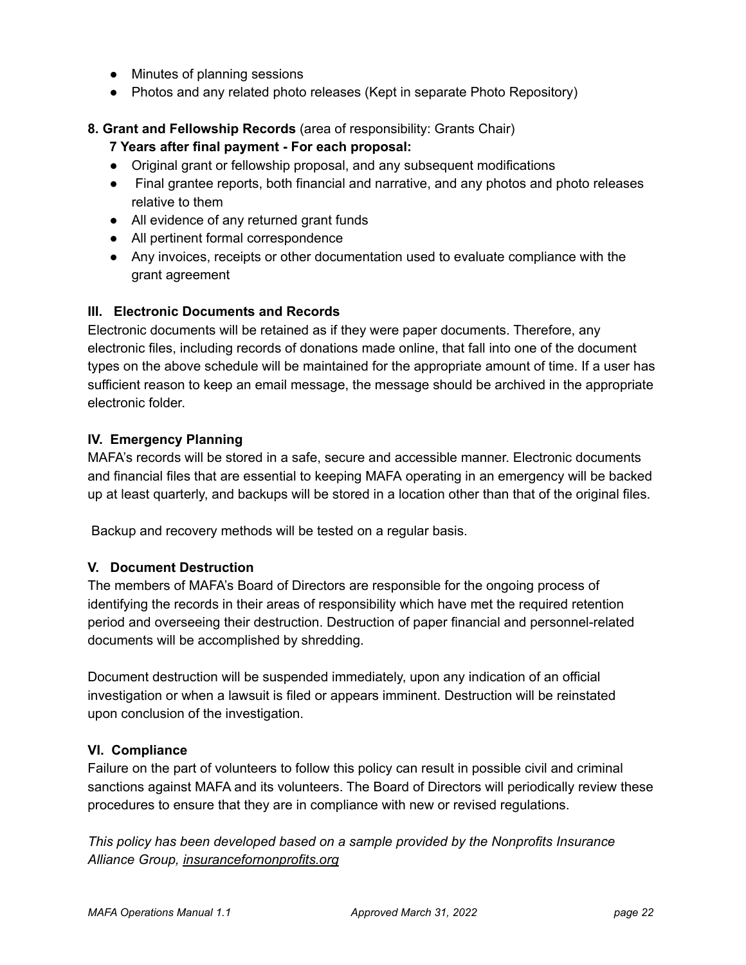- Minutes of planning sessions
- Photos and any related photo releases (Kept in separate Photo Repository)

### **8. Grant and Fellowship Records** (area of responsibility: Grants Chair)

### **7 Years after final payment - For each proposal:**

- Original grant or fellowship proposal, and any subsequent modifications
- Final grantee reports, both financial and narrative, and any photos and photo releases relative to them
- All evidence of any returned grant funds
- All pertinent formal correspondence
- Any invoices, receipts or other documentation used to evaluate compliance with the grant agreement

### **III. Electronic Documents and Records**

Electronic documents will be retained as if they were paper documents. Therefore, any electronic files, including records of donations made online, that fall into one of the document types on the above schedule will be maintained for the appropriate amount of time. If a user has sufficient reason to keep an email message, the message should be archived in the appropriate electronic folder.

### **IV. Emergency Planning**

MAFA's records will be stored in a safe, secure and accessible manner. Electronic documents and financial files that are essential to keeping MAFA operating in an emergency will be backed up at least quarterly, and backups will be stored in a location other than that of the original files.

Backup and recovery methods will be tested on a regular basis.

### **V. Document Destruction**

The members of MAFA's Board of Directors are responsible for the ongoing process of identifying the records in their areas of responsibility which have met the required retention period and overseeing their destruction. Destruction of paper financial and personnel-related documents will be accomplished by shredding.

Document destruction will be suspended immediately, upon any indication of an official investigation or when a lawsuit is filed or appears imminent. Destruction will be reinstated upon conclusion of the investigation.

### **VI. Compliance**

Failure on the part of volunteers to follow this policy can result in possible civil and criminal sanctions against MAFA and its volunteers. The Board of Directors will periodically review these procedures to ensure that they are in compliance with new or revised regulations.

*This policy has been developed based on a sample provided by the Nonprofits Insurance Alliance Group, insurancefornonprofits.org*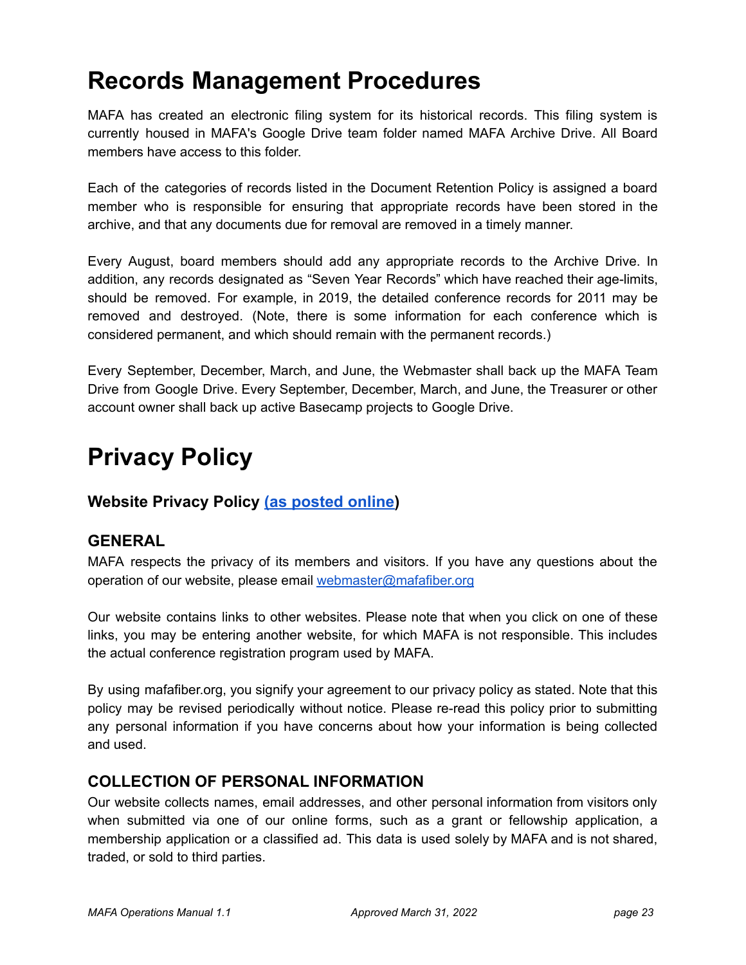## <span id="page-22-0"></span>**Records Management Procedures**

MAFA has created an electronic filing system for its historical records. This filing system is currently housed in MAFA's Google Drive team folder named MAFA Archive Drive. All Board members have access to this folder.

Each of the categories of records listed in the Document Retention Policy is assigned a board member who is responsible for ensuring that appropriate records have been stored in the archive, and that any documents due for removal are removed in a timely manner.

Every August, board members should add any appropriate records to the Archive Drive. In addition, any records designated as "Seven Year Records" which have reached their age-limits, should be removed. For example, in 2019, the detailed conference records for 2011 may be removed and destroyed. (Note, there is some information for each conference which is considered permanent, and which should remain with the permanent records.)

Every September, December, March, and June, the Webmaster shall back up the MAFA Team Drive from Google Drive. Every September, December, March, and June, the Treasurer or other account owner shall back up active Basecamp projects to Google Drive.

## **Privacy Policy**

### <span id="page-22-1"></span>**Website Privacy Policy [\(as posted online\)](https://mafafiber.org/about-us/mafa-admin/policies/website-privacy-policy/)**

### **GENERAL**

MAFA respects the privacy of its members and visitors. If you have any questions about the operation of our website, please email [webmaster@mafafiber.org](mailto:webmaster@mafafiber.org)

Our website contains links to other websites. Please note that when you click on one of these links, you may be entering another website, for which MAFA is not responsible. This includes the actual conference registration program used by MAFA.

By using mafafiber.org, you signify your agreement to our privacy policy as stated. Note that this policy may be revised periodically without notice. Please re-read this policy prior to submitting any personal information if you have concerns about how your information is being collected and used.

### **COLLECTION OF PERSONAL INFORMATION**

Our website collects names, email addresses, and other personal information from visitors only when submitted via one of our online forms, such as a grant or fellowship application, a membership application or a classified ad. This data is used solely by MAFA and is not shared, traded, or sold to third parties.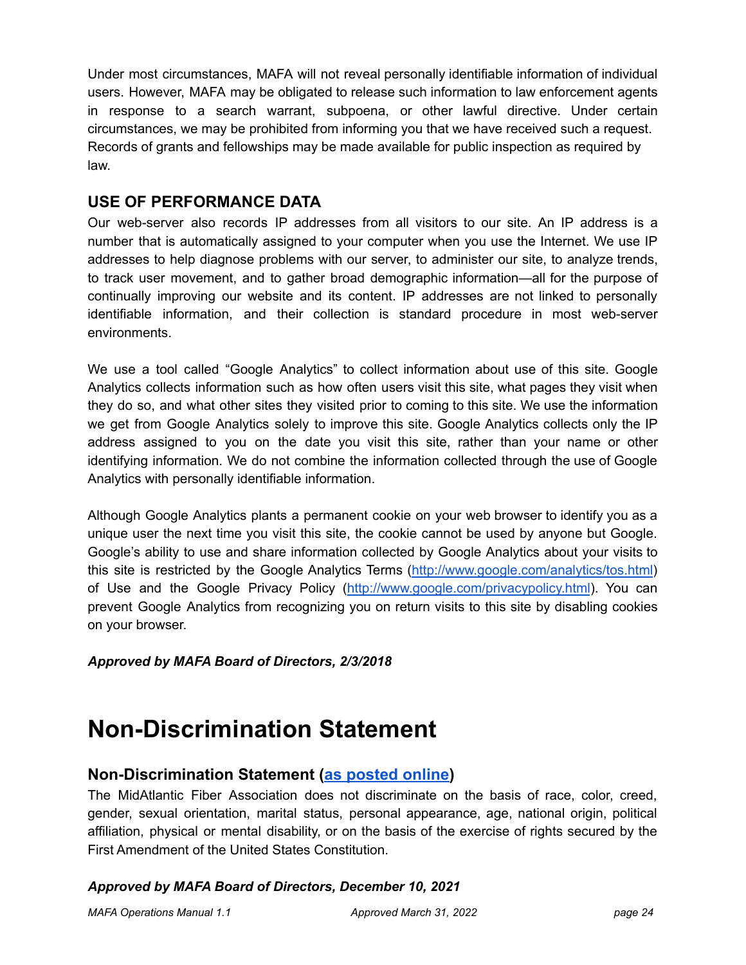Under most circumstances, MAFA will not reveal personally identifiable information of individual users. However, MAFA may be obligated to release such information to law enforcement agents in response to a search warrant, subpoena, or other lawful directive. Under certain circumstances, we may be prohibited from informing you that we have received such a request. Records of grants and fellowships may be made available for public inspection as required by law.

### **USE OF PERFORMANCE DATA**

Our web-server also records IP addresses from all visitors to our site. An IP address is a number that is automatically assigned to your computer when you use the Internet. We use IP addresses to help diagnose problems with our server, to administer our site, to analyze trends, to track user movement, and to gather broad demographic information—all for the purpose of continually improving our website and its content. IP addresses are not linked to personally identifiable information, and their collection is standard procedure in most web-server environments.

We use a tool called "Google Analytics" to collect information about use of this site. Google Analytics collects information such as how often users visit this site, what pages they visit when they do so, and what other sites they visited prior to coming to this site. We use the information we get from Google Analytics solely to improve this site. Google Analytics collects only the IP address assigned to you on the date you visit this site, rather than your name or other identifying information. We do not combine the information collected through the use of Google Analytics with personally identifiable information.

Although Google Analytics plants a permanent cookie on your web browser to identify you as a unique user the next time you visit this site, the cookie cannot be used by anyone but Google. Google's ability to use and share information collected by Google Analytics about your visits to this site is restricted by the Google Analytics Terms ([http://www.google.com/analytics/tos.html\)](http://www.google.com/analytics/tos.html) of Use and the Google Privacy Policy (<http://www.google.com/privacypolicy.html>). You can prevent Google Analytics from recognizing you on return visits to this site by disabling cookies on your browser.

*Approved by MAFA Board of Directors, 2/3/2018*

## **Non-Discrimination Statement**

### <span id="page-23-0"></span>**Non-Discrimination Statement [\(as posted online\)](https://mafafiber.org/)**

The MidAtlantic Fiber Association does not discriminate on the basis of race, color, creed, gender, sexual orientation, marital status, personal appearance, age, national origin, political affiliation, physical or mental disability, or on the basis of the exercise of rights secured by the First Amendment of the United States Constitution.

### *Approved by MAFA Board of Directors, December 10, 2021*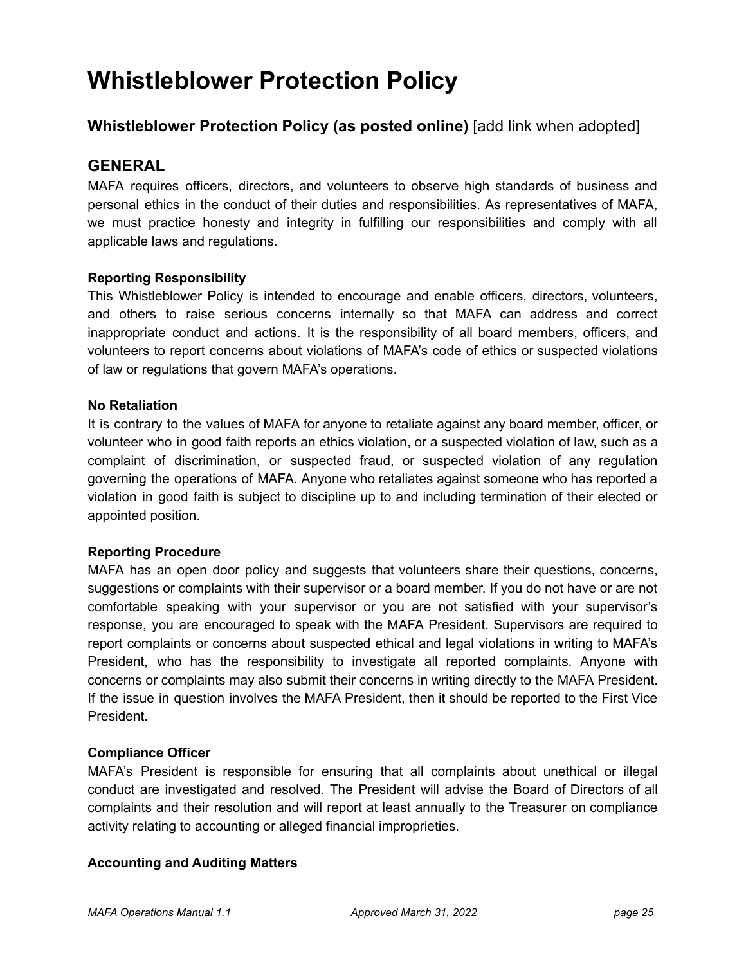## <span id="page-24-0"></span>**Whistleblower Protection Policy**

### **Whistleblower Protection Policy (as posted online)** [add link when adopted]

### **GENERAL**

MAFA requires officers, directors, and volunteers to observe high standards of business and personal ethics in the conduct of their duties and responsibilities. As representatives of MAFA, we must practice honesty and integrity in fulfilling our responsibilities and comply with all applicable laws and regulations.

### **Reporting Responsibility**

This Whistleblower Policy is intended to encourage and enable officers, directors, volunteers, and others to raise serious concerns internally so that MAFA can address and correct inappropriate conduct and actions. It is the responsibility of all board members, officers, and volunteers to report concerns about violations of MAFA's code of ethics or suspected violations of law or regulations that govern MAFA's operations.

### **No Retaliation**

It is contrary to the values of MAFA for anyone to retaliate against any board member, officer, or volunteer who in good faith reports an ethics violation, or a suspected violation of law, such as a complaint of discrimination, or suspected fraud, or suspected violation of any regulation governing the operations of MAFA. Anyone who retaliates against someone who has reported a violation in good faith is subject to discipline up to and including termination of their elected or appointed position.

### **Reporting Procedure**

MAFA has an open door policy and suggests that volunteers share their questions, concerns, suggestions or complaints with their supervisor or a board member. If you do not have or are not comfortable speaking with your supervisor or you are not satisfied with your supervisor's response, you are encouraged to speak with the MAFA President. Supervisors are required to report complaints or concerns about suspected ethical and legal violations in writing to MAFA's President, who has the responsibility to investigate all reported complaints. Anyone with concerns or complaints may also submit their concerns in writing directly to the MAFA President. If the issue in question involves the MAFA President, then it should be reported to the First Vice President.

### **Compliance Officer**

MAFA's President is responsible for ensuring that all complaints about unethical or illegal conduct are investigated and resolved. The President will advise the Board of Directors of all complaints and their resolution and will report at least annually to the Treasurer on compliance activity relating to accounting or alleged financial improprieties.

### **Accounting and Auditing Matters**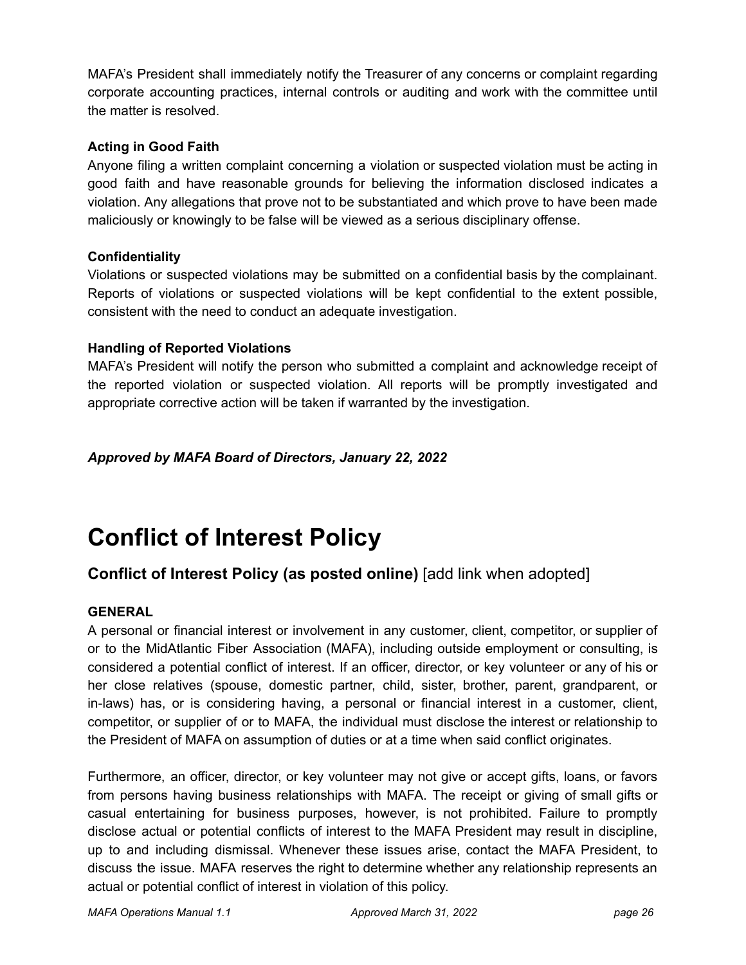MAFA's President shall immediately notify the Treasurer of any concerns or complaint regarding corporate accounting practices, internal controls or auditing and work with the committee until the matter is resolved.

### **Acting in Good Faith**

Anyone filing a written complaint concerning a violation or suspected violation must be acting in good faith and have reasonable grounds for believing the information disclosed indicates a violation. Any allegations that prove not to be substantiated and which prove to have been made maliciously or knowingly to be false will be viewed as a serious disciplinary offense.

### **Confidentiality**

Violations or suspected violations may be submitted on a confidential basis by the complainant. Reports of violations or suspected violations will be kept confidential to the extent possible, consistent with the need to conduct an adequate investigation.

### **Handling of Reported Violations**

MAFA's President will notify the person who submitted a complaint and acknowledge receipt of the reported violation or suspected violation. All reports will be promptly investigated and appropriate corrective action will be taken if warranted by the investigation.

### *Approved by MAFA Board of Directors, January 22, 2022*

## <span id="page-25-0"></span>**Conflict of Interest Policy**

### **Conflict of Interest Policy (as posted online)** [add link when adopted]

### **GENERAL**

A personal or financial interest or involvement in any customer, client, competitor, or supplier of or to the MidAtlantic Fiber Association (MAFA), including outside employment or consulting, is considered a potential conflict of interest. If an officer, director, or key volunteer or any of his or her close relatives (spouse, domestic partner, child, sister, brother, parent, grandparent, or in-laws) has, or is considering having, a personal or financial interest in a customer, client, competitor, or supplier of or to MAFA, the individual must disclose the interest or relationship to the President of MAFA on assumption of duties or at a time when said conflict originates.

Furthermore, an officer, director, or key volunteer may not give or accept gifts, loans, or favors from persons having business relationships with MAFA. The receipt or giving of small gifts or casual entertaining for business purposes, however, is not prohibited. Failure to promptly disclose actual or potential conflicts of interest to the MAFA President may result in discipline, up to and including dismissal. Whenever these issues arise, contact the MAFA President, to discuss the issue. MAFA reserves the right to determine whether any relationship represents an actual or potential conflict of interest in violation of this policy.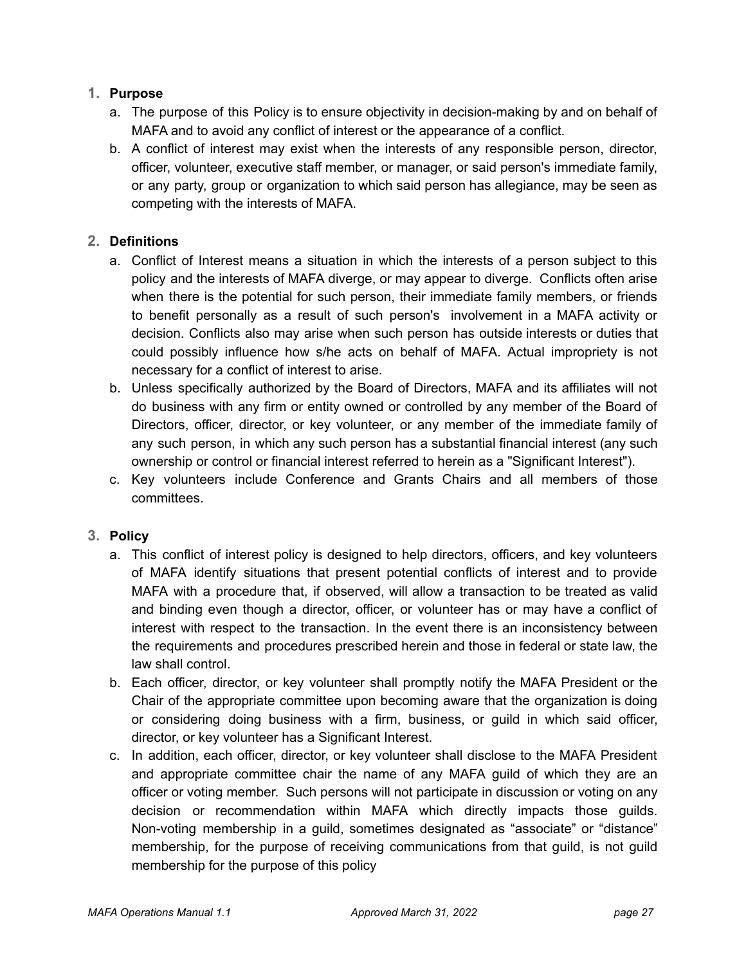### **1. Purpose**

- a. The purpose of this Policy is to ensure objectivity in decision-making by and on behalf of MAFA and to avoid any conflict of interest or the appearance of a conflict.
- b. A conflict of interest may exist when the interests of any responsible person, director, officer, volunteer, executive staff member, or manager, or said person's immediate family, or any party, group or organization to which said person has allegiance, may be seen as competing with the interests of MAFA.

### **2. Definitions**

- a. Conflict of Interest means a situation in which the interests of a person subject to this policy and the interests of MAFA diverge, or may appear to diverge. Conflicts often arise when there is the potential for such person, their immediate family members, or friends to benefit personally as a result of such person's involvement in a MAFA activity or decision. Conflicts also may arise when such person has outside interests or duties that could possibly influence how s/he acts on behalf of MAFA. Actual impropriety is not necessary for a conflict of interest to arise.
- b. Unless specifically authorized by the Board of Directors, MAFA and its affiliates will not do business with any firm or entity owned or controlled by any member of the Board of Directors, officer, director, or key volunteer, or any member of the immediate family of any such person, in which any such person has a substantial financial interest (any such ownership or control or financial interest referred to herein as a "Significant Interest").
- c. Key volunteers include Conference and Grants Chairs and all members of those committees.

### **3. Policy**

- a. This conflict of interest policy is designed to help directors, officers, and key volunteers of MAFA identify situations that present potential conflicts of interest and to provide MAFA with a procedure that, if observed, will allow a transaction to be treated as valid and binding even though a director, officer, or volunteer has or may have a conflict of interest with respect to the transaction. In the event there is an inconsistency between the requirements and procedures prescribed herein and those in federal or state law, the law shall control.
- b. Each officer, director, or key volunteer shall promptly notify the MAFA President or the Chair of the appropriate committee upon becoming aware that the organization is doing or considering doing business with a firm, business, or guild in which said officer, director, or key volunteer has a Significant Interest.
- c. In addition, each officer, director, or key volunteer shall disclose to the MAFA President and appropriate committee chair the name of any MAFA guild of which they are an officer or voting member. Such persons will not participate in discussion or voting on any decision or recommendation within MAFA which directly impacts those guilds. Non-voting membership in a guild, sometimes designated as "associate" or "distance" membership, for the purpose of receiving communications from that guild, is not guild membership for the purpose of this policy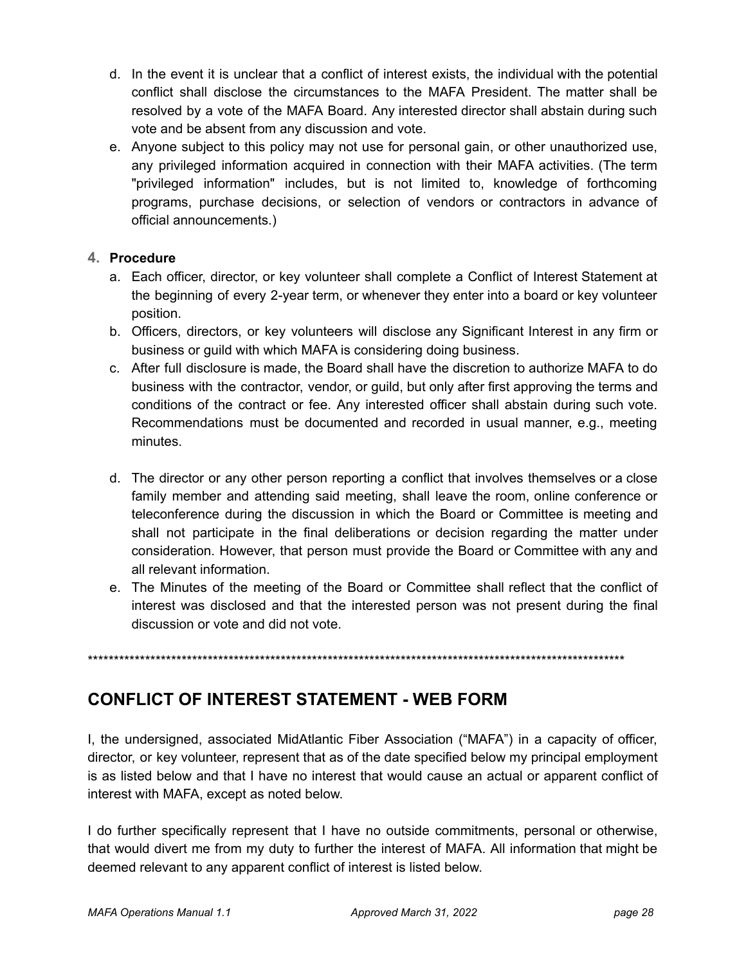- d. In the event it is unclear that a conflict of interest exists, the individual with the potential conflict shall disclose the circumstances to the MAFA President. The matter shall be resolved by a vote of the MAFA Board. Any interested director shall abstain during such vote and be absent from any discussion and vote.
- e. Anyone subject to this policy may not use for personal gain, or other unauthorized use, any privileged information acquired in connection with their MAFA activities. (The term "privileged information" includes, but is not limited to, knowledge of forthcoming programs, purchase decisions, or selection of vendors or contractors in advance of official announcements.)

### **4. Procedure**

- a. Each officer, director, or key volunteer shall complete a Conflict of Interest Statement at the beginning of every 2-year term, or whenever they enter into a board or key volunteer position.
- b. Officers, directors, or key volunteers will disclose any Significant Interest in any firm or business or guild with which MAFA is considering doing business.
- c. After full disclosure is made, the Board shall have the discretion to authorize MAFA to do business with the contractor, vendor, or guild, but only after first approving the terms and conditions of the contract or fee. Any interested officer shall abstain during such vote. Recommendations must be documented and recorded in usual manner, e.g., meeting minutes.
- d. The director or any other person reporting a conflict that involves themselves or a close family member and attending said meeting, shall leave the room, online conference or teleconference during the discussion in which the Board or Committee is meeting and shall not participate in the final deliberations or decision regarding the matter under consideration. However, that person must provide the Board or Committee with any and all relevant information.
- e. The Minutes of the meeting of the Board or Committee shall reflect that the conflict of interest was disclosed and that the interested person was not present during the final discussion or vote and did not vote.

\*\*\*\*\*\*\*\*\*\*\*\*\*\*\*\*\*\*\*\*\*\*\*\*\*\*\*\*\*\*\*\*\*\*\*\*\*\*\*\*\*\*\*\*\*\*\*\*\*\*\*\*\*\*\*\*\*\*\*\*\*\*\*\*\*\*\*\*\*\*\*\*\*\*\*\*\*\*\*\*\*\*\*\*\*\*\*\*\*\*\*\*\*\*\*\*\*\*\*\*\*\*\*

### **CONFLICT OF INTEREST STATEMENT - WEB FORM**

I, the undersigned, associated MidAtlantic Fiber Association ("MAFA") in a capacity of officer, director, or key volunteer, represent that as of the date specified below my principal employment is as listed below and that I have no interest that would cause an actual or apparent conflict of interest with MAFA, except as noted below.

I do further specifically represent that I have no outside commitments, personal or otherwise, that would divert me from my duty to further the interest of MAFA. All information that might be deemed relevant to any apparent conflict of interest is listed below.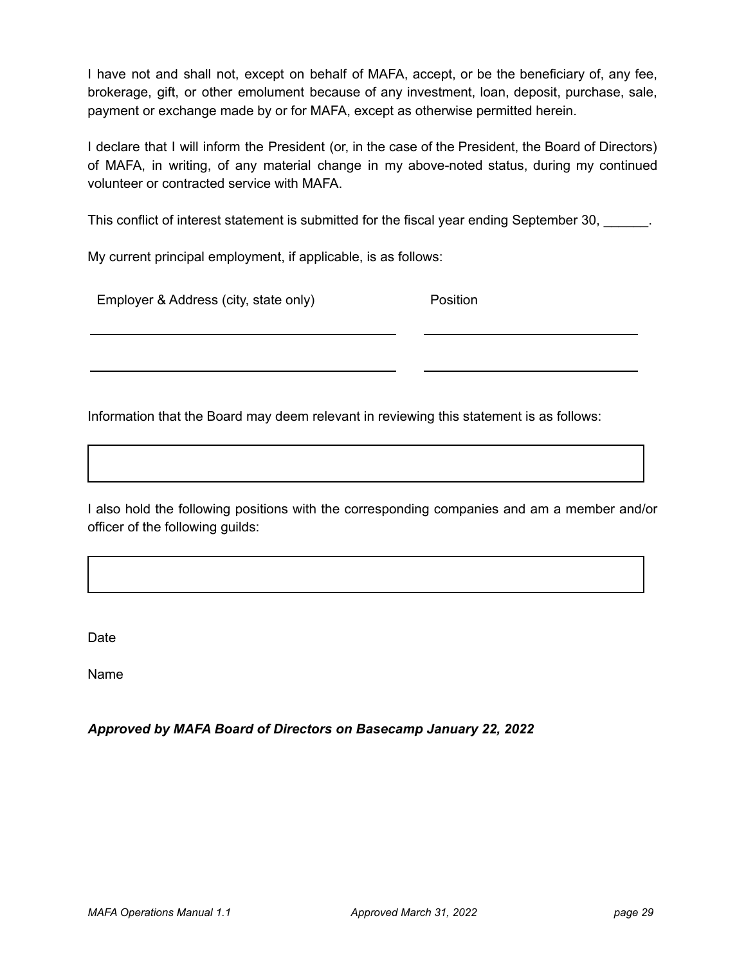I have not and shall not, except on behalf of MAFA, accept, or be the beneficiary of, any fee, brokerage, gift, or other emolument because of any investment, loan, deposit, purchase, sale, payment or exchange made by or for MAFA, except as otherwise permitted herein.

I declare that I will inform the President (or, in the case of the President, the Board of Directors) of MAFA, in writing, of any material change in my above-noted status, during my continued volunteer or contracted service with MAFA.

This conflict of interest statement is submitted for the fiscal year ending September 30,

My current principal employment, if applicable, is as follows:

| Employer & Address (city, state only) | <b>Position</b> |
|---------------------------------------|-----------------|
|                                       |                 |

Information that the Board may deem relevant in reviewing this statement is as follows:

I also hold the following positions with the corresponding companies and am a member and/or officer of the following guilds:

**Date** 

Name

*Approved by MAFA Board of Directors on Basecamp January 22, 2022*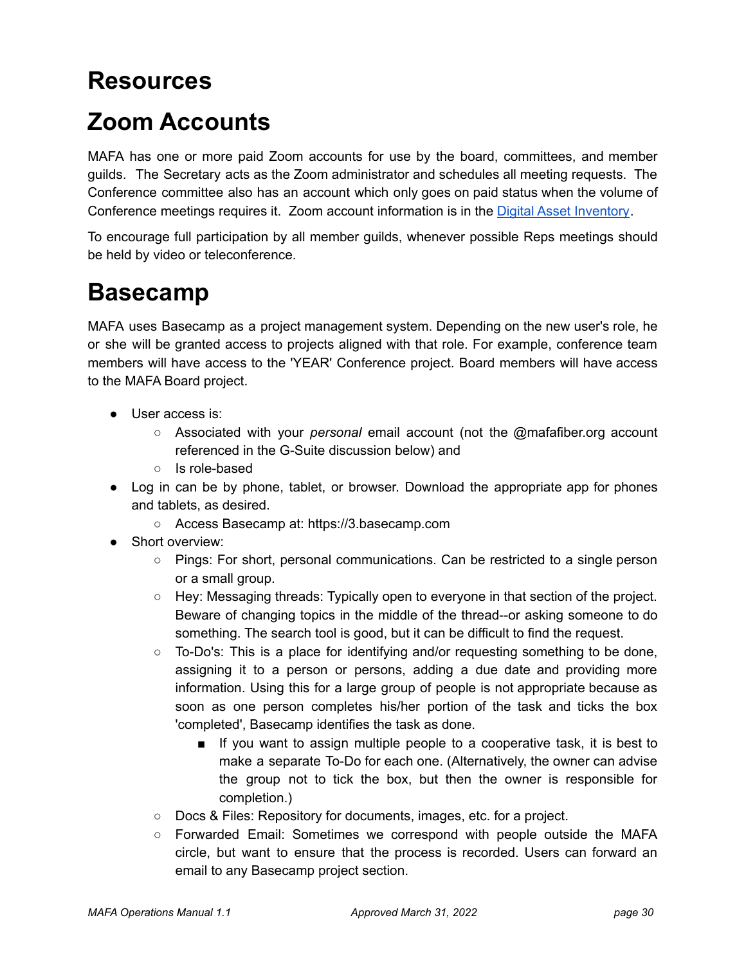## <span id="page-29-0"></span>**Resources**

## <span id="page-29-1"></span>**Zoom Accounts**

MAFA has one or more paid Zoom accounts for use by the board, committees, and member guilds. The Secretary acts as the Zoom administrator and schedules all meeting requests. The Conference committee also has an account which only goes on paid status when the volume of Conference meetings requires it. Zoom account information is in the [Digital Asset Inventory](https://docs.google.com/document/d/1kvMw0nvVgTfBBpsc34hDPe0vs6vuMmL4y0UvXvwV4Us/edit?usp=sharing).

To encourage full participation by all member guilds, whenever possible Reps meetings should be held by video or teleconference.

## <span id="page-29-2"></span>**Basecamp**

MAFA uses Basecamp as a project management system. Depending on the new user's role, he or she will be granted access to projects aligned with that role. For example, conference team members will have access to the 'YEAR' Conference project. Board members will have access to the MAFA Board project.

- User access is:
	- Associated with your *personal* email account (not the @mafafiber.org account referenced in the G-Suite discussion below) and
	- Is role-based
- Log in can be by phone, tablet, or browser. Download the appropriate app for phones and tablets, as desired.
	- Access Basecamp at: https://3.basecamp.com
- Short overview:
	- Pings: For short, personal communications. Can be restricted to a single person or a small group.
	- Hey: Messaging threads: Typically open to everyone in that section of the project. Beware of changing topics in the middle of the thread--or asking someone to do something. The search tool is good, but it can be difficult to find the request.
	- To-Do's: This is a place for identifying and/or requesting something to be done, assigning it to a person or persons, adding a due date and providing more information. Using this for a large group of people is not appropriate because as soon as one person completes his/her portion of the task and ticks the box 'completed', Basecamp identifies the task as done.
		- If you want to assign multiple people to a cooperative task, it is best to make a separate To-Do for each one. (Alternatively, the owner can advise the group not to tick the box, but then the owner is responsible for completion.)
	- Docs & Files: Repository for documents, images, etc. for a project.
	- Forwarded Email: Sometimes we correspond with people outside the MAFA circle, but want to ensure that the process is recorded. Users can forward an email to any Basecamp project section.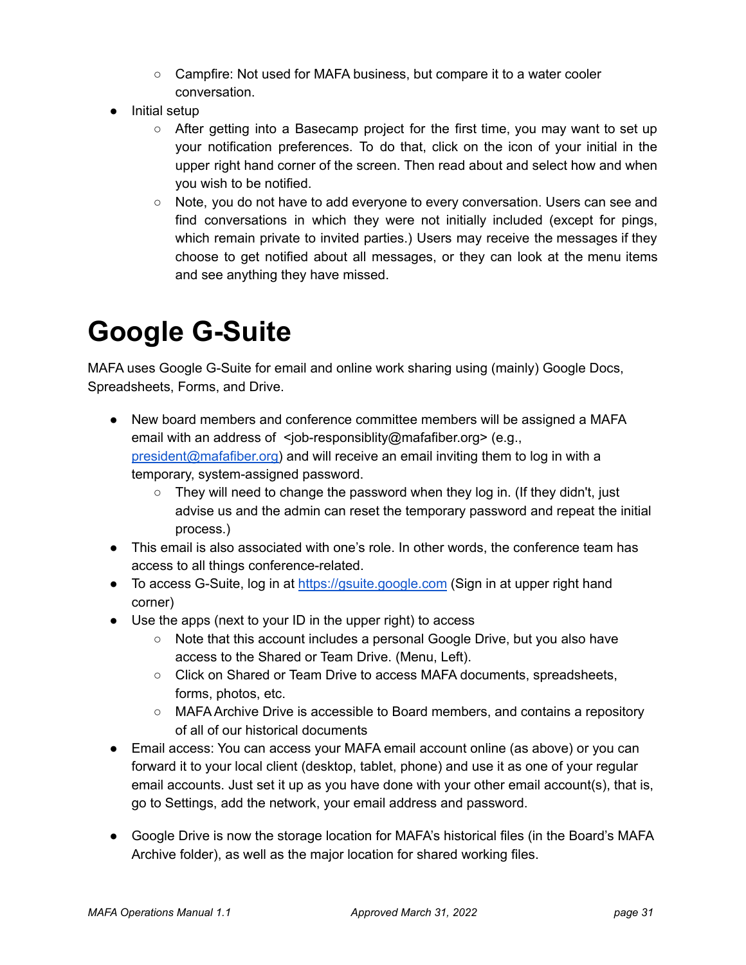- Campfire: Not used for MAFA business, but compare it to a water cooler conversation.
- Initial setup
	- After getting into a Basecamp project for the first time, you may want to set up your notification preferences. To do that, click on the icon of your initial in the upper right hand corner of the screen. Then read about and select how and when you wish to be notified.
	- Note, you do not have to add everyone to every conversation. Users can see and find conversations in which they were not initially included (except for pings, which remain private to invited parties.) Users may receive the messages if they choose to get notified about all messages, or they can look at the menu items and see anything they have missed.

# <span id="page-30-0"></span>**Google G-Suite**

MAFA uses Google G-Suite for email and online work sharing using (mainly) Google Docs, Spreadsheets, Forms, and Drive.

- New board members and conference committee members will be assigned a MAFA email with an address of <iob-responsiblity@mafafiber.org> (e.g., [president@mafafiber.org\)](mailto:president@mafafiber.org) and will receive an email inviting them to log in with a temporary, system-assigned password.
	- $\circ$  They will need to change the password when they log in. (If they didn't, just advise us and the admin can reset the temporary password and repeat the initial process.)
- This email is also associated with one's role. In other words, the conference team has access to all things conference-related.
- To access G-Suite, log in at <https://gsuite.google.com> (Sign in at upper right hand corner)
- Use the apps (next to your ID in the upper right) to access
	- Note that this account includes a personal Google Drive, but you also have access to the Shared or Team Drive. (Menu, Left).
	- Click on Shared or Team Drive to access MAFA documents, spreadsheets, forms, photos, etc.
	- MAFA Archive Drive is accessible to Board members, and contains a repository of all of our historical documents
- Email access: You can access your MAFA email account online (as above) or you can forward it to your local client (desktop, tablet, phone) and use it as one of your regular email accounts. Just set it up as you have done with your other email account(s), that is, go to Settings, add the network, your email address and password.
- Google Drive is now the storage location for MAFA's historical files (in the Board's MAFA Archive folder), as well as the major location for shared working files.